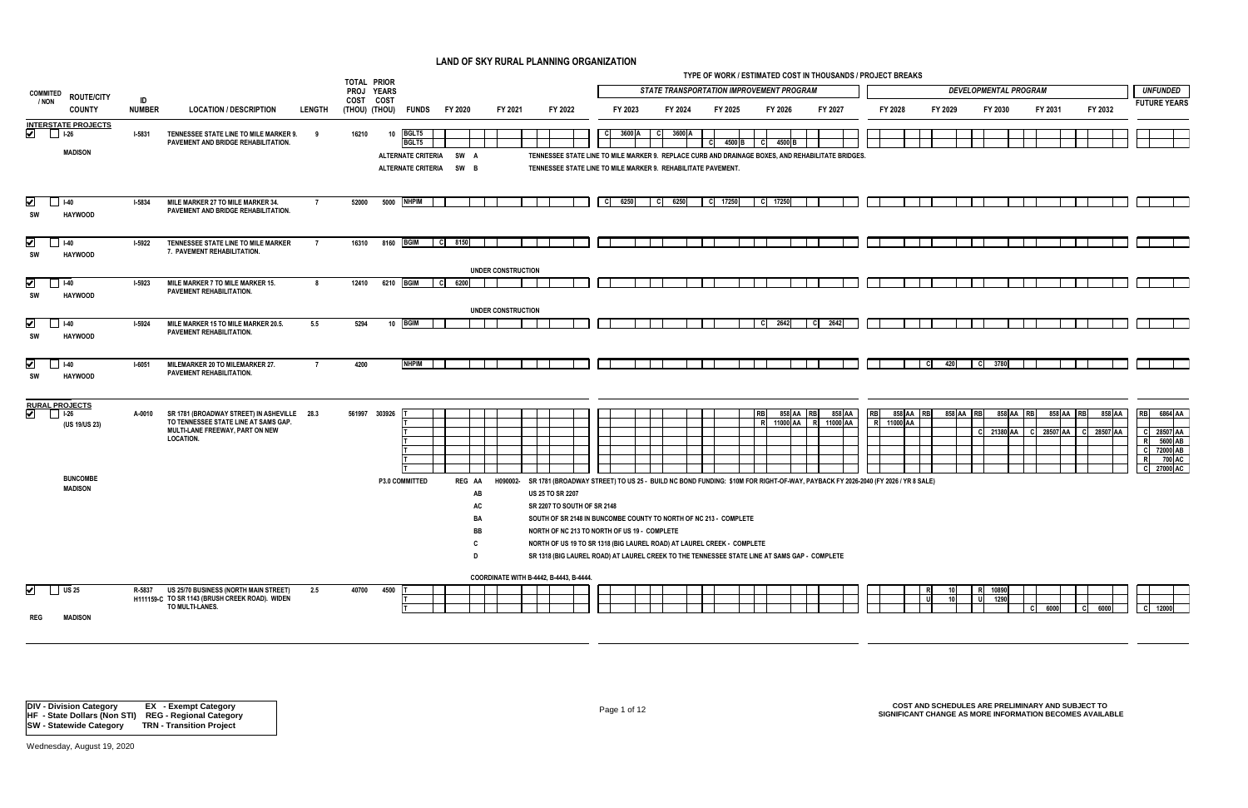|    |           |         |           | <b>DEVELOPMENTAL PROGRAM</b> |           |         |    |                |         |    |        | <b>UNFUNDED</b>     |  |
|----|-----------|---------|-----------|------------------------------|-----------|---------|----|----------------|---------|----|--------|---------------------|--|
|    |           |         |           |                              |           |         |    |                |         |    |        | <b>FUTURE YEARS</b> |  |
|    |           | FY 2029 |           | FY 2030                      |           | FY 2031 |    |                | FY 2032 |    |        |                     |  |
|    |           |         |           |                              |           |         |    |                |         |    |        |                     |  |
|    |           |         |           |                              |           |         |    |                |         |    |        |                     |  |
|    |           |         |           |                              |           |         |    |                |         |    |        |                     |  |
|    |           |         |           |                              |           |         |    |                |         |    |        |                     |  |
|    |           |         |           |                              |           |         |    |                |         |    |        |                     |  |
|    |           |         |           |                              |           |         |    |                |         |    |        |                     |  |
|    |           |         |           |                              |           |         |    |                |         |    |        |                     |  |
|    |           |         |           |                              |           |         |    |                |         |    |        |                     |  |
|    |           |         |           |                              |           |         |    |                |         |    |        |                     |  |
|    |           |         |           |                              |           |         |    |                |         |    |        |                     |  |
|    |           |         |           |                              |           |         |    |                |         |    |        |                     |  |
|    |           |         |           |                              |           |         |    |                |         |    |        |                     |  |
|    |           |         |           |                              |           |         |    |                |         |    |        |                     |  |
|    |           |         |           |                              |           |         |    |                |         |    |        |                     |  |
|    |           |         |           |                              |           |         |    |                |         |    |        |                     |  |
|    |           |         |           |                              |           |         |    |                |         |    |        |                     |  |
|    |           |         |           |                              |           |         |    |                |         |    |        |                     |  |
|    |           |         |           |                              |           |         |    |                |         |    |        |                     |  |
|    |           |         |           |                              |           |         |    |                |         |    |        |                     |  |
|    |           |         |           |                              |           |         |    |                |         |    |        |                     |  |
|    |           |         |           |                              |           |         |    |                |         |    |        |                     |  |
|    | C         | 420     | c         | 3780                         |           |         |    |                |         |    |        |                     |  |
|    |           |         |           |                              |           |         |    |                |         |    |        |                     |  |
|    |           |         |           |                              |           |         |    |                |         |    |        |                     |  |
|    |           |         |           |                              |           |         |    |                |         |    |        |                     |  |
| AA | <b>RB</b> | 858 AA  | <b>RB</b> | 858 AA                       | <b>RB</b> | 858 AA  |    | R <sub>B</sub> | 858 AA  |    | RB     | 6864 AA             |  |
| AA |           |         |           |                              |           |         |    |                |         |    |        |                     |  |
|    |           |         | c         | 21380 AA                     | c         | 28507   | AA | c              | 28507   | AA | c      | 28507 AA            |  |
|    |           |         |           |                              |           |         |    |                |         |    | R<br>C | 5600 AB<br>72000 AB |  |
|    |           |         |           |                              |           |         |    |                |         |    | R      | 700 AC              |  |
|    |           |         |           |                              |           |         |    |                |         |    | c      | 27000 AC            |  |
|    | R 8 SALE) |         |           |                              |           |         |    |                |         |    |        |                     |  |
|    |           |         |           |                              |           |         |    |                |         |    |        |                     |  |
|    |           |         |           |                              |           |         |    |                |         |    |        |                     |  |

| 10 <sub>1</sub><br><br>u | <br>υ | 1000<br>. . Ju |                                          |      |                     |      |  |       |  |
|--------------------------|-------|----------------|------------------------------------------|------|---------------------|------|--|-------|--|
|                          |       |                | $\overline{\phantom{0}}$<br>$\mathbf{r}$ | 6000 | $\sim$<br>$\bullet$ | 6000 |  | 12000 |  |

|                                                                            |                     |                                                                                                                                            |                | <b>TOTAL PRIOR</b> |      |                                                                               |                                                                        |                                         |                             |                                                                                                                                                                                                                                                                                             |         |                |      | TYPE OF WORK / ESTIMATED COST IN THOUSANDS / PROJECT BREAKS |      |                       |      |                    |          |          |           |                                    |           |                 |                              |                                               |         |        |                                                                          |
|----------------------------------------------------------------------------|---------------------|--------------------------------------------------------------------------------------------------------------------------------------------|----------------|--------------------|------|-------------------------------------------------------------------------------|------------------------------------------------------------------------|-----------------------------------------|-----------------------------|---------------------------------------------------------------------------------------------------------------------------------------------------------------------------------------------------------------------------------------------------------------------------------------------|---------|----------------|------|-------------------------------------------------------------|------|-----------------------|------|--------------------|----------|----------|-----------|------------------------------------|-----------|-----------------|------------------------------|-----------------------------------------------|---------|--------|--------------------------------------------------------------------------|
| <b>COMMITED</b><br><b>ROUTE/CITY</b>                                       |                     |                                                                                                                                            |                | PROJ YEARS         |      |                                                                               |                                                                        |                                         |                             |                                                                                                                                                                                                                                                                                             |         |                |      | <b>STATE TRANSPORTATION IMPROVEMENT PROGRAM</b>             |      |                       |      |                    |          |          |           |                                    |           |                 | <b>DEVELOPMENTAL PROGRAM</b> |                                               |         |        | <b>UNFUNDED</b>                                                          |
| / NON<br><b>COUNTY</b>                                                     | ID<br><b>NUMBER</b> | <b>LOCATION / DESCRIPTION</b>                                                                                                              | <b>LENGTH</b>  | COST COST          |      | (THOU) (THOU) FUNDS                                                           | FY 2020                                                                | FY 2021                                 | FY 2022                     |                                                                                                                                                                                                                                                                                             | FY 2023 | FY 2024        |      | FY 2025                                                     |      | FY 2026               |      | FY 2027            |          | FY 2028  |           | FY 2029                            |           | FY 2030         |                              | FY 2031                                       | FY 2032 |        | <b>FUTURE YEAR</b>                                                       |
| INTERSTATE PROJECTS<br><b>MADISON</b>                                      | <b>I-5831</b>       | TENNESSEE STATE LINE TO MILE MARKER 9.<br>PAVEMENT AND BRIDGE REHABILITATION.                                                              | - q            | 16210              | 10   | BGLT5<br><b>BGLT5</b><br><b>ALTERNATE CRITERIA</b><br>ALTERNATE CRITERIA SW B | SW A                                                                   |                                         |                             | C.<br>TENNESSEE STATE LINE TO MILE MARKER 9. REPLACE CURB AND DRAINAGE BOXES, AND REHABILITATE BRIDGES.<br>TENNESSEE STATE LINE TO MILE MARKER 9. REHABILITATE PAVEMENT.                                                                                                                    | 3600 A  | 3600 A<br>- CI | l Cl | 4500 B                                                      | - C  | 4500 B                |      |                    |          |          |           |                                    |           |                 |                              |                                               |         |        |                                                                          |
| $\overline{\mathbf{v}}$<br>$\Box$ 1-40<br><b>HAYWOOD</b><br>SW             | <b>I-5834</b>       | MILE MARKER 27 TO MILE MARKER 34.<br>PAVEMENT AND BRIDGE REHABILITATION.                                                                   | $\overline{7}$ | 52000              |      | 5000 NHPIM                                                                    |                                                                        |                                         |                             | $C$ 6250                                                                                                                                                                                                                                                                                    |         | $C$ 6250       |      | $\begin{array}{ c c }\n\hline\n\end{array}$ C 17250         |      | C 17250               |      |                    |          |          |           |                                    |           |                 |                              |                                               |         |        |                                                                          |
| $\blacktriangledown$<br>$I-40$<br><b>HAYWOOD</b><br>SW                     | <b>I-5922</b>       | TENNESSEE STATE LINE TO MILE MARKER<br>7. PAVEMENT REHABILITATION.                                                                         |                | 16310              |      | 8160 BGIM                                                                     | C 8150                                                                 |                                         |                             |                                                                                                                                                                                                                                                                                             |         |                |      |                                                             |      |                       |      |                    |          |          |           |                                    |           |                 |                              |                                               |         |        |                                                                          |
|                                                                            |                     |                                                                                                                                            |                |                    |      |                                                                               |                                                                        | UNDER CONSTRUCTION                      |                             |                                                                                                                                                                                                                                                                                             |         |                |      |                                                             |      |                       |      |                    |          |          |           |                                    |           |                 |                              |                                               |         |        |                                                                          |
| $\blacktriangledown$<br>$\blacksquare$ 1-40<br><b>HAYWOOD</b><br>SW        | $1 - 5923$          | MILE MARKER 7 TO MILE MARKER 15.<br>PAVEMENT REHABILITATION.                                                                               | - 8            | 12410              |      | 6210 BGIM                                                                     | $\begin{array}{ c c c c c } \hline \text{C} & \text{6200} \end{array}$ |                                         |                             |                                                                                                                                                                                                                                                                                             |         |                |      |                                                             |      |                       |      |                    |          |          |           |                                    |           |                 |                              |                                               |         |        |                                                                          |
|                                                                            |                     |                                                                                                                                            |                |                    |      |                                                                               |                                                                        | <b>UNDER CONSTRUCTION</b>               |                             |                                                                                                                                                                                                                                                                                             |         |                |      |                                                             |      |                       |      |                    |          |          |           |                                    |           |                 |                              |                                               |         |        |                                                                          |
| $\blacktriangleright$<br>$\blacksquare$ 1-40<br><b>HAYWOOD</b><br>SW       | <b>I-5924</b>       | MILE MARKER 15 TO MILE MARKER 20.5.<br>PAVEMENT REHABILITATION.                                                                            | 5.5            | 5294               |      | 10 BGIM                                                                       |                                                                        |                                         |                             |                                                                                                                                                                                                                                                                                             |         |                |      |                                                             | - CI | 2642                  | - CI | 2642               |          |          |           |                                    |           |                 |                              |                                               |         |        |                                                                          |
| $\blacktriangledown$<br>$I-40$<br><b>HAYWOOD</b><br>SW                     | <b>I-6051</b>       | MILEMARKER 20 TO MILEMARKER 27.<br>PAVEMENT REHABILITATION.                                                                                |                | 4200               |      | <b>NHPIM</b>                                                                  |                                                                        |                                         |                             |                                                                                                                                                                                                                                                                                             |         |                |      |                                                             |      |                       |      |                    |          |          | - C I     | 420                                | C         | 3780            |                              |                                               |         |        |                                                                          |
| RURAL PROJECTS<br>(US 19/US 23)                                            | A-0010              | SR 1781 (BROADWAY STREET) IN ASHEVILLE 28.3<br>TO TENNESSEE STATE LINE AT SAMS GAP.<br>MULTI-LANE FREEWAY, PART ON NEW<br><b>LOCATION.</b> |                | 561997 303926      |      |                                                                               |                                                                        |                                         |                             |                                                                                                                                                                                                                                                                                             |         |                |      |                                                             | RB   | 858 AA RB<br>11000 AA | RI   | 858 AA<br>11000 AA | RBI<br>R | 11000 AA | 858 AA RB |                                    | 858 AA RB | 858 AA RB       |                              | 858 AA RB<br>C 21380 AA C 28507 AA C 28507 AA |         | 858 AA | <b>RB</b><br>6864 A/<br>C 28507 AA<br>5600 AD<br>72000 AB<br>700 AC<br>R |
| <b>BUNCOMBE</b><br><b>MADISON</b>                                          |                     |                                                                                                                                            |                |                    |      | P3.0 COMMITTED                                                                | REG AA                                                                 | H090002-<br>AB                          | <b>US 25 TO SR 2207</b>     | SR 1781 (BROADWAY STREET) TO US 25 - BUILD NC BOND FUNDING: \$10M FOR RIGHT-OF-WAY, PAYBACK FY 2026-2040 (FY 2026 / YR 8 SALE)                                                                                                                                                              |         |                |      |                                                             |      |                       |      |                    |          |          |           |                                    |           |                 |                              |                                               |         |        | $\overline{\mathbf{c}}$<br>27000 AC                                      |
|                                                                            |                     |                                                                                                                                            |                |                    |      |                                                                               |                                                                        | AC<br>BA<br>BB                          | SR 2207 TO SOUTH OF SR 2148 | SOUTH OF SR 2148 IN BUNCOMBE COUNTY TO NORTH OF NC 213 - COMPLETE<br>NORTH OF NC 213 TO NORTH OF US 19 - COMPLETE<br>NORTH OF US 19 TO SR 1318 (BIG LAUREL ROAD) AT LAUREL CREEK - COMPLETE<br>SR 1318 (BIG LAUREL ROAD) AT LAUREL CREEK TO THE TENNESSEE STATE LINE AT SAMS GAP - COMPLETE |         |                |      |                                                             |      |                       |      |                    |          |          |           |                                    |           |                 |                              |                                               |         |        |                                                                          |
|                                                                            |                     |                                                                                                                                            |                |                    |      |                                                                               |                                                                        | COORDINATE WITH B-4442, B-4443, B-4444. |                             |                                                                                                                                                                                                                                                                                             |         |                |      |                                                             |      |                       |      |                    |          |          |           |                                    |           |                 |                              |                                               |         |        |                                                                          |
| $\overline{\mathbf{v}}$<br>$\bigcup$ US 25<br><b>REG</b><br><b>MADISON</b> | R-5837              | US 25/70 BUSINESS (NORTH MAIN STREET)<br>H111159-C TO SR 1143 (BRUSH CREEK ROAD). WIDEN<br>TO MULTI-LANES.                                 | 2.5            | 40700              | 4500 |                                                                               |                                                                        |                                         |                             |                                                                                                                                                                                                                                                                                             |         |                |      |                                                             |      |                       |      |                    |          |          | - U I     | 10 <sup>1</sup><br>10 <sup>1</sup> | – ∪ l     | R 10890<br>1290 | - CI                         | 6000                                          | ∣ C I   | 6000   | $C$ 12000                                                                |
|                                                                            |                     |                                                                                                                                            |                |                    |      |                                                                               |                                                                        |                                         |                             |                                                                                                                                                                                                                                                                                             |         |                |      |                                                             |      |                       |      |                    |          |          |           |                                    |           |                 |                              |                                               |         |        |                                                                          |

Page 1 of 12 **COST AND SCHEDULES ARE PRELIMINARY AND SUBJECT TO SIGNIFICANT CHANGE AS MORE INFORMATION BECOMES AVAILABLE**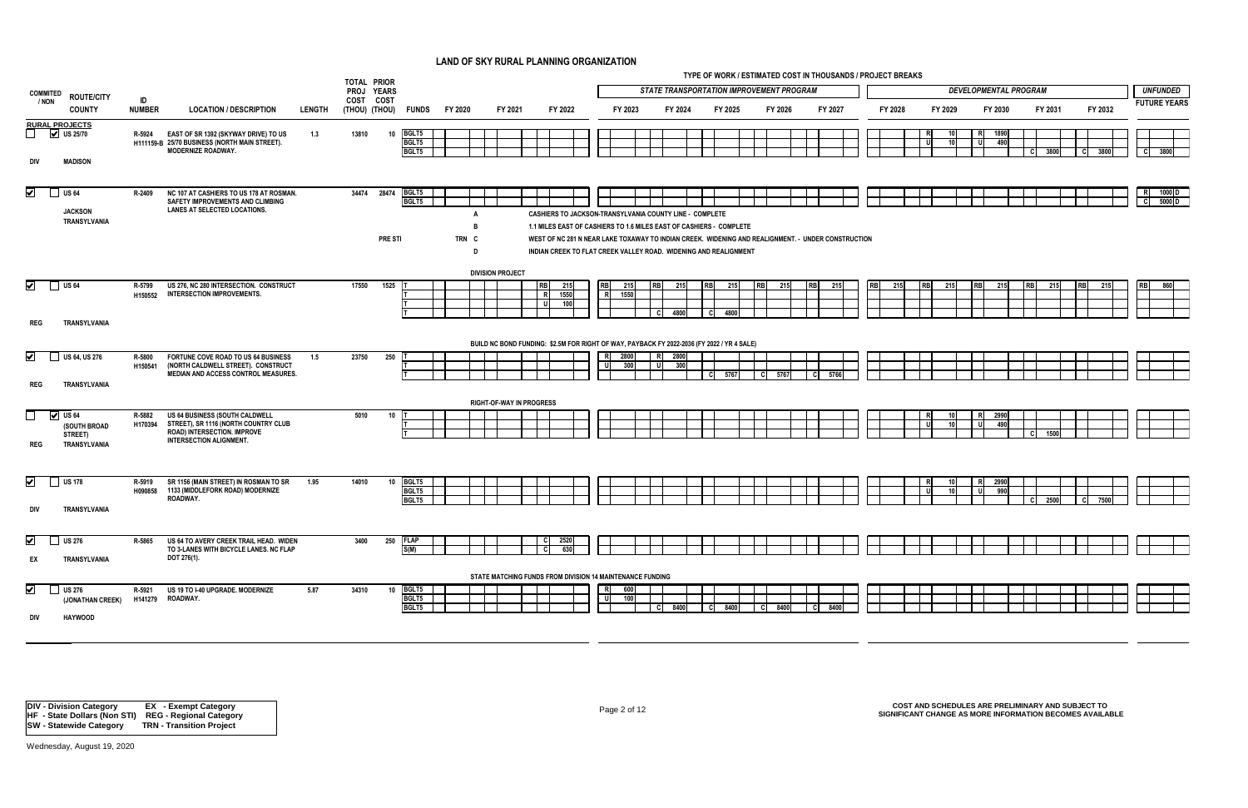*UNFUNDED STATE TRANSPORTATION IMPROVEMENT PROGRAM DEVELOPMENTAL PROGRAM* **FUTURE YEARS FY 2030 FY 2031 FY 2032**  $\overline{\phantom{0}}$  $\overline{\phantom{0}}$ l.  $\mathbf{1}$ 

|                                 |                                                         |                     |                                                                                                                                         |               | <b>TOTAL PRIOR</b> |                             |                         |                         |                                 |                                                                                                                                                                                                                                               |                |             |                   |             |                    |                                                 |           | TYPE OF WORK / ESTIMATED COST IN THOUSANDS / PROJECT BREAKS |         |                           |                              |             |              |           |          |                   |                  |
|---------------------------------|---------------------------------------------------------|---------------------|-----------------------------------------------------------------------------------------------------------------------------------------|---------------|--------------------|-----------------------------|-------------------------|-------------------------|---------------------------------|-----------------------------------------------------------------------------------------------------------------------------------------------------------------------------------------------------------------------------------------------|----------------|-------------|-------------------|-------------|--------------------|-------------------------------------------------|-----------|-------------------------------------------------------------|---------|---------------------------|------------------------------|-------------|--------------|-----------|----------|-------------------|------------------|
| <b>COMMITED</b>                 | <b>ROUTE/CITY</b>                                       |                     |                                                                                                                                         |               | PROJ YEARS         |                             |                         |                         |                                 |                                                                                                                                                                                                                                               |                |             |                   |             |                    | <b>STATE TRANSPORTATION IMPROVEMENT PROGRAM</b> |           |                                                             |         |                           | <b>DEVELOPMENTAL PROGRAM</b> |             |              |           |          | <b>UNFUNDEI</b>   |                  |
| / NON                           | <b>COUNTY</b>                                           | ID<br><b>NUMBER</b> | <b>LOCATION / DESCRIPTION</b>                                                                                                           | <b>LENGTH</b> | COST               | COST<br>(THOU) (THOU) FUNDS | FY 2020                 |                         | FY 2021                         | FY 2022                                                                                                                                                                                                                                       |                | FY 2023     |                   | FY 2024     | FY 2025            | FY 2026                                         |           | FY 2027                                                     | FY 2028 | FY 2029                   |                              | FY 2030     | FY 2031      |           | FY 2032  | <b>FUTURE YEA</b> |                  |
| $\Box$                          | <b>RURAL PROJECTS</b><br>$\vee$ US 25/70                | R-5924              | EAST OF SR 1392 (SKYWAY DRIVE) TO US<br>H111159-B 25/70 BUSINESS (NORTH MAIN STREET).<br><b>MODERNIZE ROADWAY.</b>                      | 1.3           | 13810              | 10                          | BGLT5<br>BGLT5<br>BGLT5 |                         |                                 |                                                                                                                                                                                                                                               |                |             |                   |             |                    |                                                 |           |                                                             |         | <b>R</b><br>10<br>U<br>10 | R<br>υI                      | 1890<br>490 | - CI<br>3800 |           | $C$ 3800 | <b>C</b>          | 3800             |
| div                             | <b>MADISON</b>                                          |                     |                                                                                                                                         |               |                    |                             |                         |                         |                                 |                                                                                                                                                                                                                                               |                |             |                   |             |                    |                                                 |           |                                                             |         |                           |                              |             |              |           |          |                   |                  |
| $\overline{\blacktriangledown}$ | $\Box$ US 64<br><b>JACKSON</b>                          | R-2409              | NC 107 AT CASHIERS TO US 178 AT ROSMAN.<br>SAFETY IMPROVEMENTS AND CLIMBING<br>LANES AT SELECTED LOCATIONS.                             |               | 34474 28474        |                             | BGLT5<br>BGLT5          |                         |                                 | <b>CASHIERS TO JACKSON-TRANSYLVANIA COUNTY LINE - COMPLETE</b>                                                                                                                                                                                |                |             |                   |             |                    |                                                 |           |                                                             |         |                           |                              |             |              |           |          | R<br>-<br>C       | 1000 $I$<br>5000 |
|                                 | TRANSYLVANIA                                            |                     |                                                                                                                                         |               |                    | <b>PRE STI</b>              |                         | - B<br>TRN C<br>- D     |                                 | 1.1 MILES EAST OF CASHIERS TO 1.6 MILES EAST OF CASHIERS - COMPLETE<br>WEST OF NC 281 N NEAR LAKE TOXAWAY TO INDIAN CREEK. WIDENING AND REALIGNMENT. - UNDER CONSTRUCTION<br>INDIAN CREEK TO FLAT CREEK VALLEY ROAD. WIDENING AND REALIGNMENT |                |             |                   |             |                    |                                                 |           |                                                             |         |                           |                              |             |              |           |          |                   |                  |
|                                 |                                                         |                     |                                                                                                                                         |               |                    |                             |                         | <b>DIVISION PROJECT</b> |                                 |                                                                                                                                                                                                                                               |                |             |                   |             |                    |                                                 |           |                                                             |         |                           |                              |             |              |           |          |                   |                  |
| ⊻                               | $\bigcup$ US 64                                         | R-5799<br>H150552   | US 276, NC 280 INTERSECTION. CONSTRUCT<br><b>INTERSECTION IMPROVEMENTS.</b>                                                             |               | 17550              | 1525                        |                         |                         |                                 | 215<br><b>RB</b><br>1550<br>$\overline{\mathbf{R}}$<br>100<br>- U                                                                                                                                                                             | <b>RB</b><br>R | 215<br>1550 | <b>RB</b><br>- CI | 215<br>4800 | 215<br>C I<br>4800 | 215                                             | <b>RB</b> | 215                                                         | 215     | <b>RB</b><br>215          |                              | 215         | - 215        | <b>RB</b> | 215      | <b>RB</b>         | 860              |
| <b>REG</b>                      | TRANSYLVANIA                                            |                     |                                                                                                                                         |               |                    |                             |                         |                         |                                 |                                                                                                                                                                                                                                               |                |             |                   |             |                    |                                                 |           |                                                             |         |                           |                              |             |              |           |          |                   |                  |
| $\blacktriangledown$            | US 64, US 276                                           | R-5800<br>H150541   | FORTUNE COVE ROAD TO US 64 BUSINESS<br>(NORTH CALDWELL STREET). CONSTRUCT<br>MEDIAN AND ACCESS CONTROL MEASURES.                        | 1.5           | 23750              | 250                         |                         |                         |                                 | BUILD NC BOND FUNDING: \$2.5M FOR RIGHT OF WAY, PAYBACK FY 2022-2036 (FY 2022 / YR 4 SALE)                                                                                                                                                    | R<br>U         | 2800<br>300 | R<br>- u l        | 2800<br>300 | -cl<br>5767        | - cl<br>5767                                    | -cl       | 5766                                                        |         |                           |                              |             |              |           |          |                   |                  |
| <b>REG</b>                      | TRANSYLVANIA                                            |                     |                                                                                                                                         |               |                    |                             |                         |                         | <b>RIGHT-OF-WAY IN PROGRESS</b> |                                                                                                                                                                                                                                               |                |             |                   |             |                    |                                                 |           |                                                             |         |                           |                              |             |              |           |          |                   |                  |
| $\Box$<br><b>REG</b>            | $\vee$ US 64<br>(SOUTH BROAD<br>STREET)<br>TRANSYLVANIA | R-5882<br>H170394   | US 64 BUSINESS (SOUTH CALDWELL<br>STREET), SR 1116 (NORTH COUNTRY CLUB<br>ROAD) INTERSECTION. IMPROVE<br><b>INTERSECTION ALIGNMENT.</b> |               | 5010               | 10                          |                         |                         |                                 |                                                                                                                                                                                                                                               |                |             |                   |             |                    |                                                 |           |                                                             |         | RI<br>10<br>U<br>-10      | R.<br>υI                     | 2990<br>490 | - CI<br>150  |           |          |                   |                  |
| $\vert \checkmark$              | US 178                                                  | R-5919<br>H090858   | SR 1156 (MAIN STREET) IN ROSMAN TO SR<br>1133 (MIDDLEFORK ROAD) MODERNIZE                                                               | 1.95          | 14010              | 10                          | BGLT5<br>BGLT5          |                         |                                 |                                                                                                                                                                                                                                               |                |             |                   |             |                    |                                                 |           |                                                             |         | R<br>U                    | RI<br>υI                     | 2990<br>990 |              |           |          |                   |                  |
| div                             | TRANSYLVANIA                                            |                     | ROADWAY.                                                                                                                                |               |                    |                             | BGLT5                   |                         |                                 |                                                                                                                                                                                                                                               |                |             |                   |             |                    |                                                 |           |                                                             |         |                           |                              |             | -cl<br>2500  | -CI       | 7500     |                   |                  |
| $\blacktriangledown$<br>EX      | US <sub>276</sub><br>TRANSYLVANIA                       | R-5865              | US 64 TO AVERY CREEK TRAIL HEAD. WIDEN<br>TO 3-LANES WITH BICYCLE LANES. NC FLAP<br>DOT 276(1).                                         |               | 3400               | 250<br>S(M)                 | <b>FLAP</b>             |                         |                                 | 2520<br>630                                                                                                                                                                                                                                   |                |             |                   |             |                    |                                                 |           |                                                             |         |                           |                              |             |              |           |          |                   |                  |
|                                 |                                                         |                     |                                                                                                                                         |               |                    |                             |                         |                         |                                 | STATE MATCHING FUNDS FROM DIVISION 14 MAINTENANCE FUNDING                                                                                                                                                                                     |                |             |                   |             |                    |                                                 |           |                                                             |         |                           |                              |             |              |           |          |                   |                  |
| $\overline{\blacktriangledown}$ | US <sub>276</sub><br>(JONATHAN CREEK)                   | R-5921<br>H141279   | US 19 TO I-40 UPGRADE. MODERNIZE<br>ROADWAY.                                                                                            | 5.87          | 34310              | 10 BGLT5                    | BGLT5<br>BGLT5          |                         |                                 |                                                                                                                                                                                                                                               | R<br>-u        | 600<br>100  | -CI               | 8400        | 8400<br>- CI       | - CI<br>8400                                    | - CI      | 8400                                                        |         |                           |                              |             |              |           |          |                   |                  |
| div                             | <b>HAYWOOD</b>                                          |                     |                                                                                                                                         |               |                    |                             |                         |                         |                                 |                                                                                                                                                                                                                                               |                |             |                   |             |                    |                                                 |           |                                                             |         |                           |                              |             |              |           |          |                   |                  |

Page 2 of 12 **COST AND SCHEDULES ARE PRELIMINARY AND SUBJECT TO SIGNIFICANT CHANGE AS MORE INFORMATION BECOMES AVAILABLE**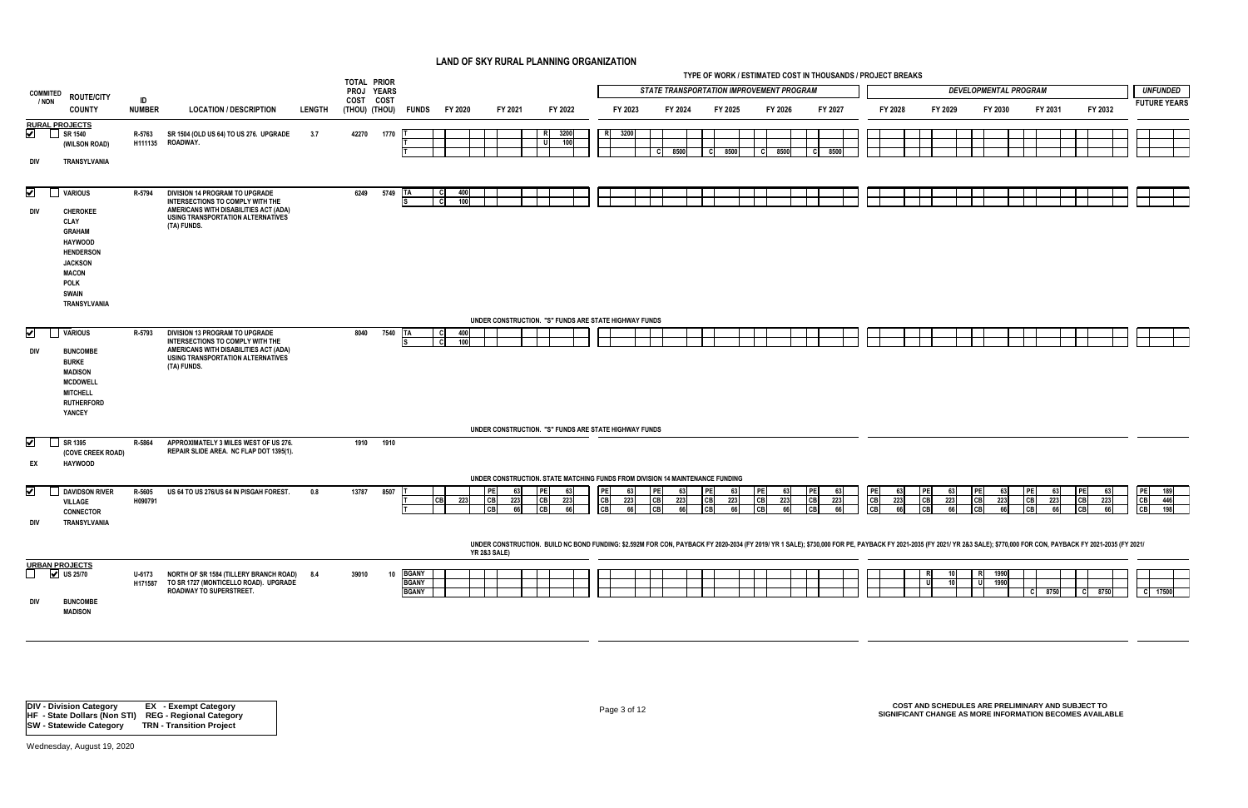|                                                                                                                                                                                                            |                     |                                                                                                                                                                        |               | <b>TOTAL PRIOR</b>               |      |                                              |                               |                                         |                                                                                                                                                                                                                          |                                     |                                     |                                                 |           | TYPE OF WORK / ESTIMATED COST IN THOUSANDS / PROJECT BREAKS |                        |                 |                       |                 |                |                 |                                |           |                                |           |                                   |                 |                   |                  |                     |                   |
|------------------------------------------------------------------------------------------------------------------------------------------------------------------------------------------------------------|---------------------|------------------------------------------------------------------------------------------------------------------------------------------------------------------------|---------------|----------------------------------|------|----------------------------------------------|-------------------------------|-----------------------------------------|--------------------------------------------------------------------------------------------------------------------------------------------------------------------------------------------------------------------------|-------------------------------------|-------------------------------------|-------------------------------------------------|-----------|-------------------------------------------------------------|------------------------|-----------------|-----------------------|-----------------|----------------|-----------------|--------------------------------|-----------|--------------------------------|-----------|-----------------------------------|-----------------|-------------------|------------------|---------------------|-------------------|
| <b>COMMITED</b><br><b>ROUTE/CITY</b>                                                                                                                                                                       |                     |                                                                                                                                                                        |               | PROJ YEARS                       |      |                                              |                               |                                         |                                                                                                                                                                                                                          |                                     |                                     | <b>STATE TRANSPORTATION IMPROVEMENT PROGRAM</b> |           |                                                             |                        |                 |                       |                 |                |                 |                                |           | <b>DEVELOPMENTAL PROGRAM</b>   |           |                                   |                 |                   |                  |                     | <b>UNFUNDED</b>   |
| / NON<br><b>COUNTY</b>                                                                                                                                                                                     | ID<br><b>NUMBER</b> | <b>LOCATION / DESCRIPTION</b>                                                                                                                                          | <b>LENGTH</b> | COST COST<br>(THOU) (THOU) FUNDS |      |                                              | FY 2020                       | FY 2021                                 | FY 2022                                                                                                                                                                                                                  | FY 2023                             |                                     | FY 2024                                         |           | FY 2025                                                     | FY 2026                |                 | FY 2027               |                 | FY 2028        |                 |                                | FY 2029   | FY 2030                        |           | FY 2031                           |                 | FY 2032           |                  | <b>FUTURE YEARS</b> |                   |
| <b>RURAL PROJECTS</b><br>$\boxed{\blacktriangledown}$<br>SR 1540<br>$\Box$<br>(WILSON ROAD)<br>div<br>TRANSYLVANIA                                                                                         | R-5763<br>H111135   | SR 1504 (OLD US 64) TO US 276. UPGRADE<br>ROADWAY.                                                                                                                     | 3.7           | 42270                            | 1770 |                                              |                               |                                         | 3200<br>100<br>- Ul                                                                                                                                                                                                      | 3200<br>$\mathsf{R}$                | -cl                                 | 8500                                            | -C I      | 8500                                                        | <b>C</b>               | 8500            | - Cl                  | 8500            |                |                 |                                |           |                                |           |                                   |                 |                   |                  |                     |                   |
| $\boxed{\blacktriangledown}$<br><b>VARIOUS</b><br>div<br><b>CHEROKEE</b><br>CLAY<br>GRAHAM<br><b>HAYWOOD</b><br><b>HENDERSON</b><br><b>JACKSON</b><br><b>MACON</b><br><b>POLK</b><br>SWAIN<br>TRANSYLVANIA | R-5794              | DIVISION 14 PROGRAM TO UPGRADE<br>INTERSECTIONS TO COMPLY WITH THE<br>AMERICANS WITH DISABILITIES ACT (ADA)<br>USING TRANSPORTATION ALTERNATIVES<br>(TA) FUNDS.        |               | 6249                             | 5749 | <b>ITA</b>                                   | 400<br>- C<br><b>C</b><br>100 |                                         | UNDER CONSTRUCTION. "S" FUNDS ARE STATE HIGHWAY FUNDS                                                                                                                                                                    |                                     |                                     |                                                 |           |                                                             |                        |                 |                       |                 |                |                 |                                |           |                                |           |                                   |                 |                   |                  |                     |                   |
| $\blacktriangledown$<br><b>VARIOUS</b><br>DIV<br><b>BUNCOMBE</b><br><b>BURKE</b><br><b>MADISON</b><br><b>MCDOWELL</b><br><b>MITCHELL</b><br><b>RUTHERFORD</b><br>YANCEY                                    | R-5793              | <b>DIVISION 13 PROGRAM TO UPGRADE</b><br>INTERSECTIONS TO COMPLY WITH THE<br>AMERICANS WITH DISABILITIES ACT (ADA)<br>USING TRANSPORTATION ALTERNATIVES<br>(TA) FUNDS. |               | 8040                             | 7540 |                                              | 400<br>- C<br>100             |                                         | UNDER CONSTRUCTION. "S" FUNDS ARE STATE HIGHWAY FUNDS                                                                                                                                                                    |                                     |                                     |                                                 |           |                                                             |                        |                 |                       |                 |                |                 |                                |           |                                |           |                                   |                 |                   |                  |                     |                   |
| $\sqrt{ }$<br>SR 1395<br>$\Box$                                                                                                                                                                            | R-5864              | APPROXIMATELY 3 MILES WEST OF US 276.                                                                                                                                  |               | 1910                             | 1910 |                                              |                               |                                         |                                                                                                                                                                                                                          |                                     |                                     |                                                 |           |                                                             |                        |                 |                       |                 |                |                 |                                |           |                                |           |                                   |                 |                   |                  |                     |                   |
| (COVE CREEK ROAD)<br>EX<br><b>HAYWOOD</b>                                                                                                                                                                  |                     | REPAIR SLIDE AREA. NC FLAP DOT 1395(1).                                                                                                                                |               |                                  |      |                                              |                               |                                         | UNDER CONSTRUCTION. STATE MATCHING FUNDS FROM DIVISION 14 MAINTENANCE FUNDING                                                                                                                                            |                                     |                                     |                                                 |           |                                                             |                        |                 |                       |                 |                |                 |                                |           |                                |           |                                   |                 |                   |                  |                     |                   |
| ⊻<br><b>DAVIDSON RIVER</b><br><b>VILLAGE</b><br><b>CONNECTOR</b><br>DIV<br>TRANSYLVANIA                                                                                                                    | R-5605<br>H090791   | US 64 TO US 276/US 64 IN PISGAH FOREST.                                                                                                                                | 0.8           | 13787                            | 8507 |                                              | <b>CB</b><br>223              | 63<br>223<br><b>ICBI</b><br>I CBI<br>66 | I PE<br>-631<br><b>CB</b><br>223<br><b>CB</b><br>66                                                                                                                                                                      | PE<br>-63<br>CB<br>223<br>CB<br>-66 | <b>PE</b><br><b>CB</b><br><b>CB</b> | 63<br>223<br>66                                 | <b>CB</b> | 63<br>223                                                   | PE <br>CB<br><b>CB</b> | 63<br>223<br>66 | PE<br>CB<br><b>CB</b> | 63<br>223<br>66 | PE<br>CB<br>CB | 63<br>223<br>66 | <b>PE</b><br> CB <br><b>CB</b> | 63<br>223 | <b>CB</b>                      | 63<br>223 | PE<br>$\overline{C}$<br><b>CB</b> | 63<br>223<br>66 | l PE<br><b>CB</b> | 63<br>223<br>66I | PE<br>CB<br>CB      | 189<br>446<br>198 |
|                                                                                                                                                                                                            |                     |                                                                                                                                                                        |               |                                  |      |                                              |                               | <b>YR 2&amp;3 SALE)</b>                 | UNDER CONSTRUCTION. BUILD NC BOND FUNDING: \$2.592M FOR CON, PAYBACK FY 2020-2034 (FY 2019/ YR 1 SALE); \$730,000 FOR PE, PAYBACK FY 2021-2035 (FY 2021/ YR 2&3 SALE); \$770,000 FOR CON, PAYBACK FY 2021-2035 (FY 2021/ |                                     |                                     |                                                 |           |                                                             |                        |                 |                       |                 |                |                 |                                |           |                                |           |                                   |                 |                   |                  |                     |                   |
| <b>URBAN PROJECTS</b><br>$\vee$ US 25/70<br>div<br><b>BUNCOMBE</b><br><b>MADISON</b>                                                                                                                       | U-6173              | NORTH OF SR 1584 (TILLERY BRANCH ROAD) 8.4<br>H171587 TO SR 1727 (MONTICELLO ROAD). UPGRADE<br>ROADWAY TO SUPERSTREET.                                                 |               | 39010                            | 10   | <b>BGANY</b><br><b>BGANY</b><br><b>BGANY</b> |                               |                                         |                                                                                                                                                                                                                          |                                     |                                     |                                                 |           |                                                             |                        |                 |                       |                 |                |                 | - U                            | 10 I      | 1990<br>-R<br>1990<br><b>U</b> |           | - CI                              | 8750            | 8750<br>- CI      |                  | C 17500             |                   |

Page 3 of 12 **COST AND SCHEDULES ARE PRELIMINARY AND SUBJECT TO SIGNIFICANT CHANGE AS MORE INFORMATION BECOMES AVAILABLE**

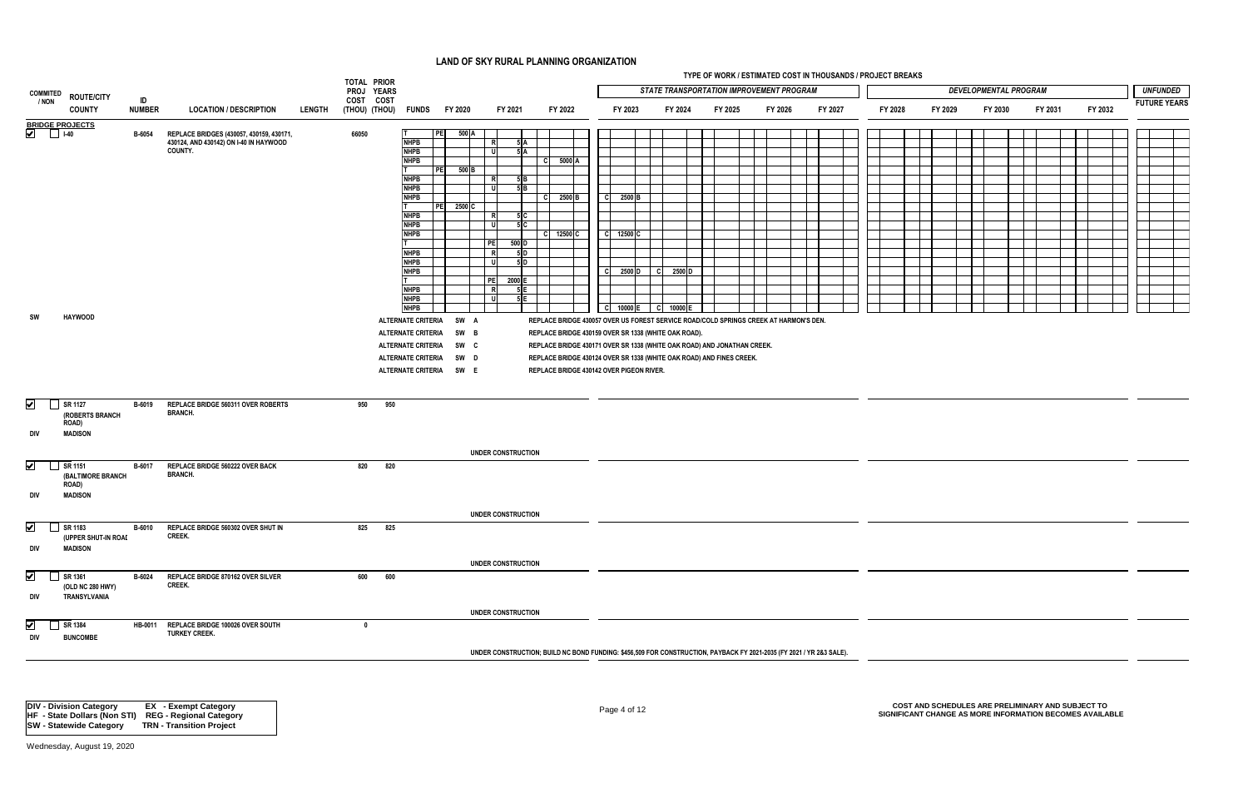|                              |                                         |               |                                                                  |               |                         |                            |                        |                              | LAND OF SKY RURAL PLANNING ORGANIZATION                                                                              |                     |          |         |                                                                                                                |         |         |         |                              |         |         |                     |  |
|------------------------------|-----------------------------------------|---------------|------------------------------------------------------------------|---------------|-------------------------|----------------------------|------------------------|------------------------------|----------------------------------------------------------------------------------------------------------------------|---------------------|----------|---------|----------------------------------------------------------------------------------------------------------------|---------|---------|---------|------------------------------|---------|---------|---------------------|--|
|                              |                                         |               |                                                                  |               | TOTAL PRIOR             |                            |                        |                              |                                                                                                                      |                     |          |         | TYPE OF WORK / ESTIMATED COST IN THOUSANDS / PROJECT BREAKS<br><b>STATE TRANSPORTATION IMPROVEMENT PROGRAM</b> |         |         |         | <b>DEVELOPMENTAL PROGRAM</b> |         |         | <b>UNFUNDED</b>     |  |
| <b>COMMITED</b><br>/ NON     | <b>ROUTE/CITY</b>                       | ID            |                                                                  |               | PROJ YEARS<br>COST COST |                            |                        |                              |                                                                                                                      |                     |          |         |                                                                                                                |         |         |         |                              |         |         | <b>FUTURE YEARS</b> |  |
|                              | <b>COUNTY</b>                           | <b>NUMBER</b> | <b>LOCATION / DESCRIPTION</b>                                    | <b>LENGTH</b> |                         | (THOU) (THOU) FUNDS        | FY 2020                | FY 2021                      | FY 2022                                                                                                              | FY 2023             | FY 2024  | FY 2025 | FY 2026                                                                                                        | FY 2027 | FY 2028 | FY 2029 | FY 2030                      | FY 2031 | FY 2032 |                     |  |
| BRIDGE PROJECTS              |                                         | B-6054        | REPLACE BRIDGES (430057, 430159, 430171,                         |               | 66050                   |                            | $500 \text{ A}$<br>PEI |                              |                                                                                                                      |                     |          |         |                                                                                                                |         |         |         |                              |         |         |                     |  |
|                              |                                         |               | 430124, AND 430142) ON I-40 IN HAYWOOD                           |               |                         | <b>NHPB</b>                |                        | R<br>5A                      |                                                                                                                      |                     |          |         |                                                                                                                |         |         |         |                              |         |         |                     |  |
|                              |                                         |               | <b>COUNTY.</b>                                                   |               |                         | <b>NHPB</b>                |                        | $5$ $A$ $\overline{)}$<br>-U |                                                                                                                      |                     |          |         |                                                                                                                |         |         |         |                              |         |         |                     |  |
|                              |                                         |               |                                                                  |               |                         | <b>NHPB</b>                | 500 B<br>PE            |                              | $\begin{array}{ c c c }\n\hline\n\end{array}$ C 5000 A                                                               |                     |          |         |                                                                                                                |         |         |         |                              |         |         |                     |  |
|                              |                                         |               |                                                                  |               |                         | <b>NHPB</b>                |                        | $5$ $B$<br><b>R</b>          |                                                                                                                      |                     |          |         |                                                                                                                |         |         |         |                              |         |         |                     |  |
|                              |                                         |               |                                                                  |               |                         | <b>NHPB</b>                |                        | 5B                           |                                                                                                                      |                     |          |         |                                                                                                                |         |         |         |                              |         |         |                     |  |
|                              |                                         |               |                                                                  |               |                         | <b>NHPB</b>                | 2500 C<br><b>PEI</b>   |                              | $ C $ 2500 B                                                                                                         | 2500 B<br>-C I      |          |         |                                                                                                                |         |         |         |                              |         |         |                     |  |
|                              |                                         |               |                                                                  |               |                         | <b>NHPB</b>                |                        | 5C<br>R                      |                                                                                                                      |                     |          |         |                                                                                                                |         |         |         |                              |         |         |                     |  |
|                              |                                         |               |                                                                  |               |                         | <b>NHPB</b><br><b>NHPB</b> |                        | 5C<br>- U                    |                                                                                                                      | -cl                 |          |         |                                                                                                                |         |         |         |                              |         |         |                     |  |
|                              |                                         |               |                                                                  |               |                         |                            |                        | PE<br>500 D                  |                                                                                                                      | 12500 C             |          |         |                                                                                                                |         |         |         |                              |         |         |                     |  |
|                              |                                         |               |                                                                  |               |                         | <b>NHPB</b>                |                        | R<br>5 D                     |                                                                                                                      |                     |          |         |                                                                                                                |         |         |         |                              |         |         |                     |  |
|                              |                                         |               |                                                                  |               |                         | <b>NHPB</b><br><b>NHPB</b> |                        | $5$ D<br>- u                 |                                                                                                                      | -cl<br>2500 D       | C 2500 D |         |                                                                                                                |         |         |         |                              |         |         |                     |  |
|                              |                                         |               |                                                                  |               |                         |                            |                        | PE<br>2000 E                 |                                                                                                                      |                     |          |         |                                                                                                                |         |         |         |                              |         |         |                     |  |
|                              |                                         |               |                                                                  |               |                         | <b>NHPB</b>                |                        | 5E<br>R                      |                                                                                                                      |                     |          |         |                                                                                                                |         |         |         |                              |         |         |                     |  |
|                              |                                         |               |                                                                  |               |                         | <b>NHPB</b><br><b>NHPB</b> |                        | -U<br>$5E$                   |                                                                                                                      | C 10000 E C 10000 E |          |         |                                                                                                                |         |         |         |                              |         |         |                     |  |
| SW                           | <b>HAYWOOD</b>                          |               |                                                                  |               |                         | ALTERNATE CRITERIA SW A    |                        |                              | REPLACE BRIDGE 430057 OVER US FOREST SERVICE ROAD/COLD SPRINGS CREEK AT HARMON'S DEN.                                |                     |          |         |                                                                                                                |         |         |         |                              |         |         |                     |  |
|                              |                                         |               |                                                                  |               |                         | <b>ALTERNATE CRITERIA</b>  | SW B                   |                              | REPLACE BRIDGE 430159 OVER SR 1338 (WHITE OAK ROAD).                                                                 |                     |          |         |                                                                                                                |         |         |         |                              |         |         |                     |  |
|                              |                                         |               |                                                                  |               |                         | ALTERNATE CRITERIA SW C    |                        |                              | REPLACE BRIDGE 430171 OVER SR 1338 (WHITE OAK ROAD) AND JONATHAN CREEK.                                              |                     |          |         |                                                                                                                |         |         |         |                              |         |         |                     |  |
|                              |                                         |               |                                                                  |               |                         | ALTERNATE CRITERIA SW D    |                        |                              |                                                                                                                      |                     |          |         |                                                                                                                |         |         |         |                              |         |         |                     |  |
|                              |                                         |               |                                                                  |               |                         | ALTERNATE CRITERIA SW E    |                        |                              | REPLACE BRIDGE 430124 OVER SR 1338 (WHITE OAK ROAD) AND FINES CREEK.<br>REPLACE BRIDGE 430142 OVER PIGEON RIVER.     |                     |          |         |                                                                                                                |         |         |         |                              |         |         |                     |  |
|                              |                                         |               |                                                                  |               |                         |                            |                        |                              |                                                                                                                      |                     |          |         |                                                                                                                |         |         |         |                              |         |         |                     |  |
|                              |                                         |               |                                                                  |               |                         |                            |                        |                              |                                                                                                                      |                     |          |         |                                                                                                                |         |         |         |                              |         |         |                     |  |
| $\overline{\mathbf{v}}$<br>▁ | SR 1127                                 | B-6019        | REPLACE BRIDGE 560311 OVER ROBERTS                               |               | 950                     | 950                        |                        |                              |                                                                                                                      |                     |          |         |                                                                                                                |         |         |         |                              |         |         |                     |  |
|                              | (ROBERTS BRANCH                         |               | <b>BRANCH.</b>                                                   |               |                         |                            |                        |                              |                                                                                                                      |                     |          |         |                                                                                                                |         |         |         |                              |         |         |                     |  |
| DIV                          | <b>ROAD)</b><br><b>MADISON</b>          |               |                                                                  |               |                         |                            |                        |                              |                                                                                                                      |                     |          |         |                                                                                                                |         |         |         |                              |         |         |                     |  |
|                              |                                         |               |                                                                  |               |                         |                            |                        |                              |                                                                                                                      |                     |          |         |                                                                                                                |         |         |         |                              |         |         |                     |  |
|                              |                                         |               |                                                                  |               |                         |                            |                        | <b>UNDER CONSTRUCTION</b>    |                                                                                                                      |                     |          |         |                                                                                                                |         |         |         |                              |         |         |                     |  |
| $\bigcup$ SR 1151            |                                         | <b>B-6017</b> | REPLACE BRIDGE 560222 OVER BACK                                  |               | 820                     | 820                        |                        |                              |                                                                                                                      |                     |          |         |                                                                                                                |         |         |         |                              |         |         |                     |  |
|                              | (BALTIMORE BRANCH<br><b>ROAD)</b>       |               | <b>BRANCH.</b>                                                   |               |                         |                            |                        |                              |                                                                                                                      |                     |          |         |                                                                                                                |         |         |         |                              |         |         |                     |  |
| DIV                          | <b>MADISON</b>                          |               |                                                                  |               |                         |                            |                        |                              |                                                                                                                      |                     |          |         |                                                                                                                |         |         |         |                              |         |         |                     |  |
|                              |                                         |               |                                                                  |               |                         |                            |                        |                              |                                                                                                                      |                     |          |         |                                                                                                                |         |         |         |                              |         |         |                     |  |
|                              |                                         |               |                                                                  |               |                         |                            |                        | UNDER CONSTRUCTION           |                                                                                                                      |                     |          |         |                                                                                                                |         |         |         |                              |         |         |                     |  |
| $\overline{\smile}$          | SR 1183                                 | <b>B-6010</b> | REPLACE BRIDGE 560302 OVER SHUT IN<br><b>CREEK.</b>              |               | 825                     | 825                        |                        |                              |                                                                                                                      |                     |          |         |                                                                                                                |         |         |         |                              |         |         |                     |  |
| div                          | (UPPER SHUT-IN ROAI<br><b>MADISON</b>   |               |                                                                  |               |                         |                            |                        |                              |                                                                                                                      |                     |          |         |                                                                                                                |         |         |         |                              |         |         |                     |  |
|                              |                                         |               |                                                                  |               |                         |                            |                        |                              |                                                                                                                      |                     |          |         |                                                                                                                |         |         |         |                              |         |         |                     |  |
|                              |                                         |               |                                                                  |               |                         |                            |                        | <b>UNDER CONSTRUCTION</b>    |                                                                                                                      |                     |          |         |                                                                                                                |         |         |         |                              |         |         |                     |  |
| $\blacktriangledown$         | SR 1361                                 | B-6024        | REPLACE BRIDGE 870162 OVER SILVER<br><b>CREEK.</b>               |               | 600                     | 600                        |                        |                              |                                                                                                                      |                     |          |         |                                                                                                                |         |         |         |                              |         |         |                     |  |
| div                          | (OLD NC 280 HWY)<br><b>TRANSYLVANIA</b> |               |                                                                  |               |                         |                            |                        |                              |                                                                                                                      |                     |          |         |                                                                                                                |         |         |         |                              |         |         |                     |  |
|                              |                                         |               |                                                                  |               |                         |                            |                        |                              |                                                                                                                      |                     |          |         |                                                                                                                |         |         |         |                              |         |         |                     |  |
|                              |                                         |               |                                                                  |               |                         |                            |                        | <b>UNDER CONSTRUCTION</b>    |                                                                                                                      |                     |          |         |                                                                                                                |         |         |         |                              |         |         |                     |  |
| $\blacktriangledown$         | SR 1384                                 |               | HB-0011 REPLACE BRIDGE 100026 OVER SOUTH<br><b>TURKEY CREEK.</b> |               |                         |                            |                        |                              |                                                                                                                      |                     |          |         |                                                                                                                |         |         |         |                              |         |         |                     |  |
| DIV                          | <b>BUNCOMBE</b>                         |               |                                                                  |               |                         |                            |                        |                              |                                                                                                                      |                     |          |         |                                                                                                                |         |         |         |                              |         |         |                     |  |
|                              |                                         |               |                                                                  |               |                         |                            |                        |                              | UNDER CONSTRUCTION; BUILD NC BOND FUNDING: \$456,509 FOR CONSTRUCTION, PAYBACK FY 2021-2035 (FY 2021 / YR 2&3 SALE). |                     |          |         |                                                                                                                |         |         |         |                              |         |         |                     |  |
|                              |                                         |               |                                                                  |               |                         |                            |                        |                              |                                                                                                                      |                     |          |         |                                                                                                                |         |         |         |                              |         |         |                     |  |

Page 4 of 12 **COST AND SCHEDULES ARE PRELIMINARY AND SUBJECT TO SIGNIFICANT CHANGE AS MORE INFORMATION BECOMES AVAILABLE**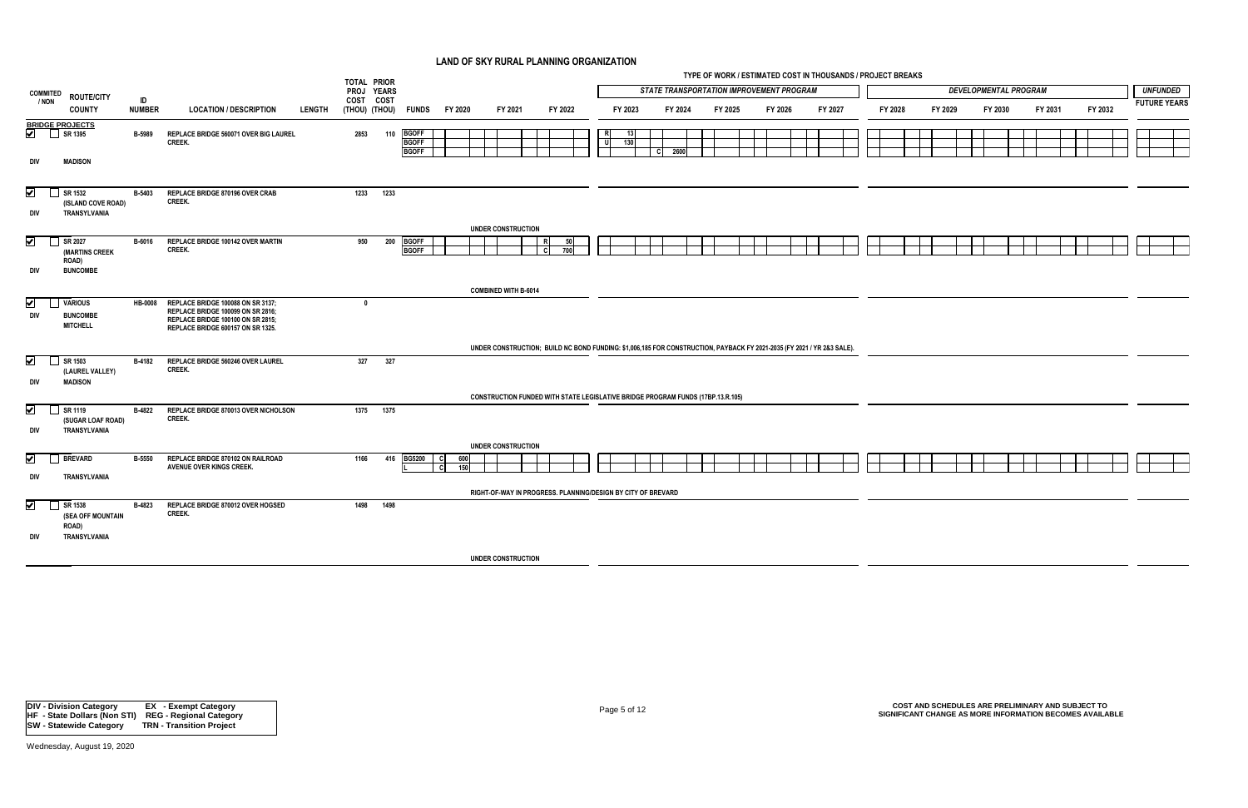| <b>STATE TRANSPORTATION IMPROVEMENT PROGRAM</b><br><b>DEVELOPMENTAL PROGRAM</b><br><b>UNFUNDED</b><br>PROJ YEARS<br><b>COMMITED</b><br><b>ROUTE/CITY</b><br>ID<br>COST COST<br>/ NON<br><b>FUTURE YEARS</b><br><b>NUMBER</b><br>FY 2032<br><b>COUNTY</b><br><b>LOCATION / DESCRIPTION</b><br>LENGTH<br>(THOU) (THOU)<br><b>FUNDS</b><br>FY 2020<br>FY 2021<br>FY 2022<br>FY 2023<br>FY 2024<br>FY 2025<br>FY 2026<br>FY 2027<br>FY 2028<br>FY 2029<br>FY 2030<br>FY 2031<br><b>BGOFF</b><br>REPLACE BRIDGE 560071 OVER BIG LAUREL<br>2853<br>110<br>B-5989<br>CREEK.<br>d<br><b>BGOFF</b><br>130<br><b>BGOFF</b><br>2600<br>- C I<br><b>MADISON</b><br>DIV<br>REPLACE BRIDGE 870196 OVER CRAB<br>1233<br>B-5403<br>1233<br>CREEK.<br>(ISLAND COVE ROAD)<br>DIV<br>TRANSYLVANIA<br><b>UNDER CONSTRUCTION</b><br>$\overline{\mathbf{v}}$<br><b>BGOFF</b><br>SR 2027<br>REPLACE BRIDGE 100142 OVER MARTIN<br>200<br>B-6016<br>950<br>50<br>$\mathbf{1}$<br>CREEK.<br><b>BGOFF</b><br>700<br>(MARTINS CREEK<br><b>ROAD)</b><br>div<br><b>BUNCOMBE</b><br><b>COMBINED WITH B-6014</b><br>$\blacktriangledown$<br><b>VARIOUS</b><br>REPLACE BRIDGE 100088 ON SR 3137;<br><b>HB-0008</b><br>$\mathbf{0}$<br>REPLACE BRIDGE 100099 ON SR 2816;<br><b>DIV</b><br><b>BUNCOMBE</b><br>REPLACE BRIDGE 100100 ON SR 2815;<br><b>MITCHELL</b><br>REPLACE BRIDGE 600157 ON SR 1325.<br>UNDER CONSTRUCTION; BUILD NC BOND FUNDING: \$1,006,185 FOR CONSTRUCTION, PAYBACK FY 2021-2035 (FY 2021 / YR 2&3 SALE).<br>$\blacktriangledown$<br>327<br>SR 1503<br>B-4182<br>REPLACE BRIDGE 560246 OVER LAUREL<br>327<br>CREEK.<br>(LAUREL VALLEY) |  |  | TOTAL PRIOR |  |  |  |  |  |  |  | TYPE OF WORK / ESTIMATED COST IN THOUSANDS / PROJECT BREAKS |  |  |  |  |  |  |
|-----------------------------------------------------------------------------------------------------------------------------------------------------------------------------------------------------------------------------------------------------------------------------------------------------------------------------------------------------------------------------------------------------------------------------------------------------------------------------------------------------------------------------------------------------------------------------------------------------------------------------------------------------------------------------------------------------------------------------------------------------------------------------------------------------------------------------------------------------------------------------------------------------------------------------------------------------------------------------------------------------------------------------------------------------------------------------------------------------------------------------------------------------------------------------------------------------------------------------------------------------------------------------------------------------------------------------------------------------------------------------------------------------------------------------------------------------------------------------------------------------------------------------------------------------------------------------------------------------------------------------|--|--|-------------|--|--|--|--|--|--|--|-------------------------------------------------------------|--|--|--|--|--|--|
| BRIDGE PROJECTS<br>SR 1395<br>$\bigtriangledown$ SR 1532                                                                                                                                                                                                                                                                                                                                                                                                                                                                                                                                                                                                                                                                                                                                                                                                                                                                                                                                                                                                                                                                                                                                                                                                                                                                                                                                                                                                                                                                                                                                                                    |  |  |             |  |  |  |  |  |  |  |                                                             |  |  |  |  |  |  |
|                                                                                                                                                                                                                                                                                                                                                                                                                                                                                                                                                                                                                                                                                                                                                                                                                                                                                                                                                                                                                                                                                                                                                                                                                                                                                                                                                                                                                                                                                                                                                                                                                             |  |  |             |  |  |  |  |  |  |  |                                                             |  |  |  |  |  |  |
|                                                                                                                                                                                                                                                                                                                                                                                                                                                                                                                                                                                                                                                                                                                                                                                                                                                                                                                                                                                                                                                                                                                                                                                                                                                                                                                                                                                                                                                                                                                                                                                                                             |  |  |             |  |  |  |  |  |  |  |                                                             |  |  |  |  |  |  |
|                                                                                                                                                                                                                                                                                                                                                                                                                                                                                                                                                                                                                                                                                                                                                                                                                                                                                                                                                                                                                                                                                                                                                                                                                                                                                                                                                                                                                                                                                                                                                                                                                             |  |  |             |  |  |  |  |  |  |  |                                                             |  |  |  |  |  |  |
|                                                                                                                                                                                                                                                                                                                                                                                                                                                                                                                                                                                                                                                                                                                                                                                                                                                                                                                                                                                                                                                                                                                                                                                                                                                                                                                                                                                                                                                                                                                                                                                                                             |  |  |             |  |  |  |  |  |  |  |                                                             |  |  |  |  |  |  |
|                                                                                                                                                                                                                                                                                                                                                                                                                                                                                                                                                                                                                                                                                                                                                                                                                                                                                                                                                                                                                                                                                                                                                                                                                                                                                                                                                                                                                                                                                                                                                                                                                             |  |  |             |  |  |  |  |  |  |  |                                                             |  |  |  |  |  |  |
|                                                                                                                                                                                                                                                                                                                                                                                                                                                                                                                                                                                                                                                                                                                                                                                                                                                                                                                                                                                                                                                                                                                                                                                                                                                                                                                                                                                                                                                                                                                                                                                                                             |  |  |             |  |  |  |  |  |  |  |                                                             |  |  |  |  |  |  |
|                                                                                                                                                                                                                                                                                                                                                                                                                                                                                                                                                                                                                                                                                                                                                                                                                                                                                                                                                                                                                                                                                                                                                                                                                                                                                                                                                                                                                                                                                                                                                                                                                             |  |  |             |  |  |  |  |  |  |  |                                                             |  |  |  |  |  |  |
| DIV<br><b>MADISON</b>                                                                                                                                                                                                                                                                                                                                                                                                                                                                                                                                                                                                                                                                                                                                                                                                                                                                                                                                                                                                                                                                                                                                                                                                                                                                                                                                                                                                                                                                                                                                                                                                       |  |  |             |  |  |  |  |  |  |  |                                                             |  |  |  |  |  |  |
| <b>CONSTRUCTION FUNDED WITH STATE LEGISLATIVE BRIDGE PROGRAM FUNDS (17BP.13.R.105)</b>                                                                                                                                                                                                                                                                                                                                                                                                                                                                                                                                                                                                                                                                                                                                                                                                                                                                                                                                                                                                                                                                                                                                                                                                                                                                                                                                                                                                                                                                                                                                      |  |  |             |  |  |  |  |  |  |  |                                                             |  |  |  |  |  |  |
| $\blacktriangledown$<br>SR 1119<br><b>B-4822</b><br>REPLACE BRIDGE 870013 OVER NICHOLSON<br>1375<br>1375<br>CREEK.<br>(SUGAR LOAF ROAD)<br>TRANSYLVANIA<br>div                                                                                                                                                                                                                                                                                                                                                                                                                                                                                                                                                                                                                                                                                                                                                                                                                                                                                                                                                                                                                                                                                                                                                                                                                                                                                                                                                                                                                                                              |  |  |             |  |  |  |  |  |  |  |                                                             |  |  |  |  |  |  |
| <b>UNDER CONSTRUCTION</b>                                                                                                                                                                                                                                                                                                                                                                                                                                                                                                                                                                                                                                                                                                                                                                                                                                                                                                                                                                                                                                                                                                                                                                                                                                                                                                                                                                                                                                                                                                                                                                                                   |  |  |             |  |  |  |  |  |  |  |                                                             |  |  |  |  |  |  |
| $\overline{\blacktriangledown}$<br><b>BREVARD</b><br>REPLACE BRIDGE 870102 ON RAILROAD<br><b>BG5200</b><br><b>B-5550</b><br>1166<br>416<br>60<br>150<br>AVENUE OVER KINGS CREEK.<br>- CI<br>DIV<br>TRANSYLVANIA                                                                                                                                                                                                                                                                                                                                                                                                                                                                                                                                                                                                                                                                                                                                                                                                                                                                                                                                                                                                                                                                                                                                                                                                                                                                                                                                                                                                             |  |  |             |  |  |  |  |  |  |  |                                                             |  |  |  |  |  |  |
| RIGHT-OF-WAY IN PROGRESS. PLANNING/DESIGN BY CITY OF BREVARD                                                                                                                                                                                                                                                                                                                                                                                                                                                                                                                                                                                                                                                                                                                                                                                                                                                                                                                                                                                                                                                                                                                                                                                                                                                                                                                                                                                                                                                                                                                                                                |  |  |             |  |  |  |  |  |  |  |                                                             |  |  |  |  |  |  |
| $\boxed{\blacktriangleright}$<br>REPLACE BRIDGE 870012 OVER HOGSED<br>1498<br>SR 1538<br><b>B-4823</b><br>1498<br>CREEK.<br><b>(SEA OFF MOUNTAIN</b><br><b>ROAD)</b><br>div<br>TRANSYLVANIA                                                                                                                                                                                                                                                                                                                                                                                                                                                                                                                                                                                                                                                                                                                                                                                                                                                                                                                                                                                                                                                                                                                                                                                                                                                                                                                                                                                                                                 |  |  |             |  |  |  |  |  |  |  |                                                             |  |  |  |  |  |  |
| <b>UNDER CONSTRUCTION</b>                                                                                                                                                                                                                                                                                                                                                                                                                                                                                                                                                                                                                                                                                                                                                                                                                                                                                                                                                                                                                                                                                                                                                                                                                                                                                                                                                                                                                                                                                                                                                                                                   |  |  |             |  |  |  |  |  |  |  |                                                             |  |  |  |  |  |  |

# Page 5 of 12 **COST AND SCHEDULES ARE PRELIMINARY AND SUBJECT TO SIGNIFICANT CHANGE AS MORE INFORMATION BECOMES AVAILABLE**

| i,<br>r. |        |
|----------|--------|
|          |        |
|          |        |
|          | I<br>i |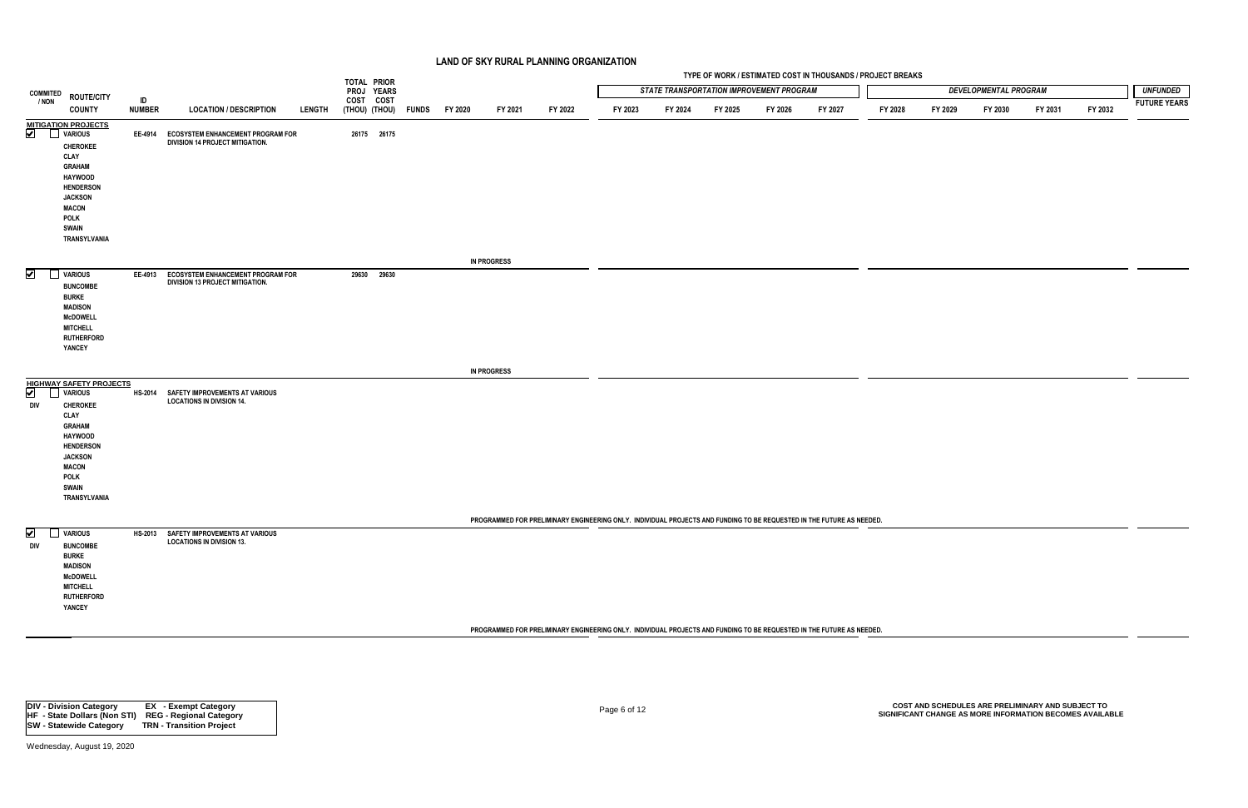|                                                                                                                                                                                                                                                     |                     |                                                                              |               | TOTAL PRIOR |             |                             |                    |         |                                                                                                                       |         |         |                                                 | TYPE OF WORK / ESTIMATED COST IN THOUSANDS / PROJECT BREAKS |         |         |                              |                                                                                                               |         |                     |
|-----------------------------------------------------------------------------------------------------------------------------------------------------------------------------------------------------------------------------------------------------|---------------------|------------------------------------------------------------------------------|---------------|-------------|-------------|-----------------------------|--------------------|---------|-----------------------------------------------------------------------------------------------------------------------|---------|---------|-------------------------------------------------|-------------------------------------------------------------|---------|---------|------------------------------|---------------------------------------------------------------------------------------------------------------|---------|---------------------|
| <b>COMMITED</b><br><b>ROUTE/CITY</b>                                                                                                                                                                                                                |                     |                                                                              |               |             | PROJ YEARS  |                             |                    |         |                                                                                                                       |         |         | <b>STATE TRANSPORTATION IMPROVEMENT PROGRAM</b> |                                                             |         |         | <b>DEVELOPMENTAL PROGRAM</b> |                                                                                                               |         | <b>UNFUNDED</b>     |
| / NON<br><b>COUNTY</b>                                                                                                                                                                                                                              | ID<br><b>NUMBER</b> | <b>LOCATION / DESCRIPTION</b>                                                | <b>LENGTH</b> | COST COST   |             | (THOU) (THOU) FUNDS FY 2020 | FY 2021            | FY 2022 | FY 2023                                                                                                               | FY 2024 | FY 2025 | FY 2026                                         | FY 2027                                                     | FY 2028 | FY 2029 | FY 2030                      | FY 2031                                                                                                       | FY 2032 | <b>FUTURE YEARS</b> |
| <b>MITIGATION PROJECTS</b><br>$\boxed{\blacktriangleright}$<br><b>VARIOUS</b><br><b>CHEROKEE</b><br>CLAY<br><b>GRAHAM</b><br><b>HAYWOOD</b><br><b>HENDERSON</b><br><b>JACKSON</b><br><b>MACON</b><br>POLK<br><b>SWAIN</b><br>TRANSYLVANIA           |                     | EE-4914 ECOSYSTEM ENHANCEMENT PROGRAM FOR<br>DIVISION 14 PROJECT MITIGATION. |               |             | 26175 26175 |                             |                    |         |                                                                                                                       |         |         |                                                 |                                                             |         |         |                              |                                                                                                               |         |                     |
|                                                                                                                                                                                                                                                     |                     |                                                                              |               |             |             |                             | <b>IN PROGRESS</b> |         |                                                                                                                       |         |         |                                                 |                                                             |         |         |                              |                                                                                                               |         |                     |
| $\blacktriangleright$<br>VARIOUS<br><b>BUNCOMBE</b><br><b>BURKE</b><br><b>MADISON</b><br><b>McDOWELL</b><br><b>MITCHELL</b><br><b>RUTHERFORD</b><br>YANCEY                                                                                          |                     | EE-4913 ECOSYSTEM ENHANCEMENT PROGRAM FOR<br>DIVISION 13 PROJECT MITIGATION. |               |             | 29630 29630 |                             |                    |         |                                                                                                                       |         |         |                                                 |                                                             |         |         |                              |                                                                                                               |         |                     |
|                                                                                                                                                                                                                                                     |                     |                                                                              |               |             |             |                             | <b>IN PROGRESS</b> |         |                                                                                                                       |         |         |                                                 |                                                             |         |         |                              |                                                                                                               |         |                     |
| <b>HIGHWAY SAFETY PROJECTS</b><br>$\boxed{\blacktriangledown}$<br><b>VARIOUS</b><br>DIV<br><b>CHEROKEE</b><br>CLAY<br><b>GRAHAM</b><br><b>HAYWOOD</b><br><b>HENDERSON</b><br><b>JACKSON</b><br><b>MACON</b><br>POLK<br><b>SWAIN</b><br>TRANSYLVANIA |                     | HS-2014 SAFETY IMPROVEMENTS AT VARIOUS<br><b>LOCATIONS IN DIVISION 14.</b>   |               |             |             |                             |                    |         |                                                                                                                       |         |         |                                                 |                                                             |         |         |                              |                                                                                                               |         |                     |
|                                                                                                                                                                                                                                                     |                     |                                                                              |               |             |             |                             |                    |         | PROGRAMMED FOR PRELIMINARY ENGINEERING ONLY. INDIVIDUAL PROJECTS AND FUNDING TO BE REQUESTED IN THE FUTURE AS NEEDED. |         |         |                                                 |                                                             |         |         |                              |                                                                                                               |         |                     |
| <b>VARIOUS</b><br>⊻<br>div<br><b>BUNCOMBE</b><br><b>BURKE</b><br><b>MADISON</b><br><b>McDOWELL</b><br><b>MITCHELL</b><br><b>RUTHERFORD</b><br>YANCEY                                                                                                |                     | HS-2013 SAFETY IMPROVEMENTS AT VARIOUS<br><b>LOCATIONS IN DIVISION 13.</b>   |               |             |             |                             |                    |         |                                                                                                                       |         |         |                                                 |                                                             |         |         |                              |                                                                                                               |         |                     |
|                                                                                                                                                                                                                                                     |                     |                                                                              |               |             |             |                             |                    |         | PROGRAMMED FOR PRELIMINARY ENGINEERING ONLY. INDIVIDUAL PROJECTS AND FUNDING TO BE REQUESTED IN THE FUTURE AS NEEDED. |         |         |                                                 |                                                             |         |         |                              |                                                                                                               |         |                     |
|                                                                                                                                                                                                                                                     |                     |                                                                              |               |             |             |                             |                    |         |                                                                                                                       |         |         |                                                 |                                                             |         |         |                              |                                                                                                               |         |                     |
| <b>DIV - Division Category</b><br>HF - State Dollars (Non STI) REG - Regional Category                                                                                                                                                              |                     | <b>EX</b> - Exempt Category                                                  |               |             |             |                             |                    |         | Page 6 of 12                                                                                                          |         |         |                                                 |                                                             |         |         |                              | COST AND SCHEDULES ARE PRELIMINARY AND SUBJECT TO<br>SIGNIFICANT CHANGE AS MORE INFORMATION BECOMES AVAILABLE |         |                     |

| <b>DIV - Division Category</b>      | <b>EX</b> - Exempt Category     |
|-------------------------------------|---------------------------------|
| <b>HF</b> - State Dollars (Non STI) | <b>REG - Regional Category</b>  |
| <b>ISW - Statewide Category</b>     | <b>TRN - Transition Project</b> |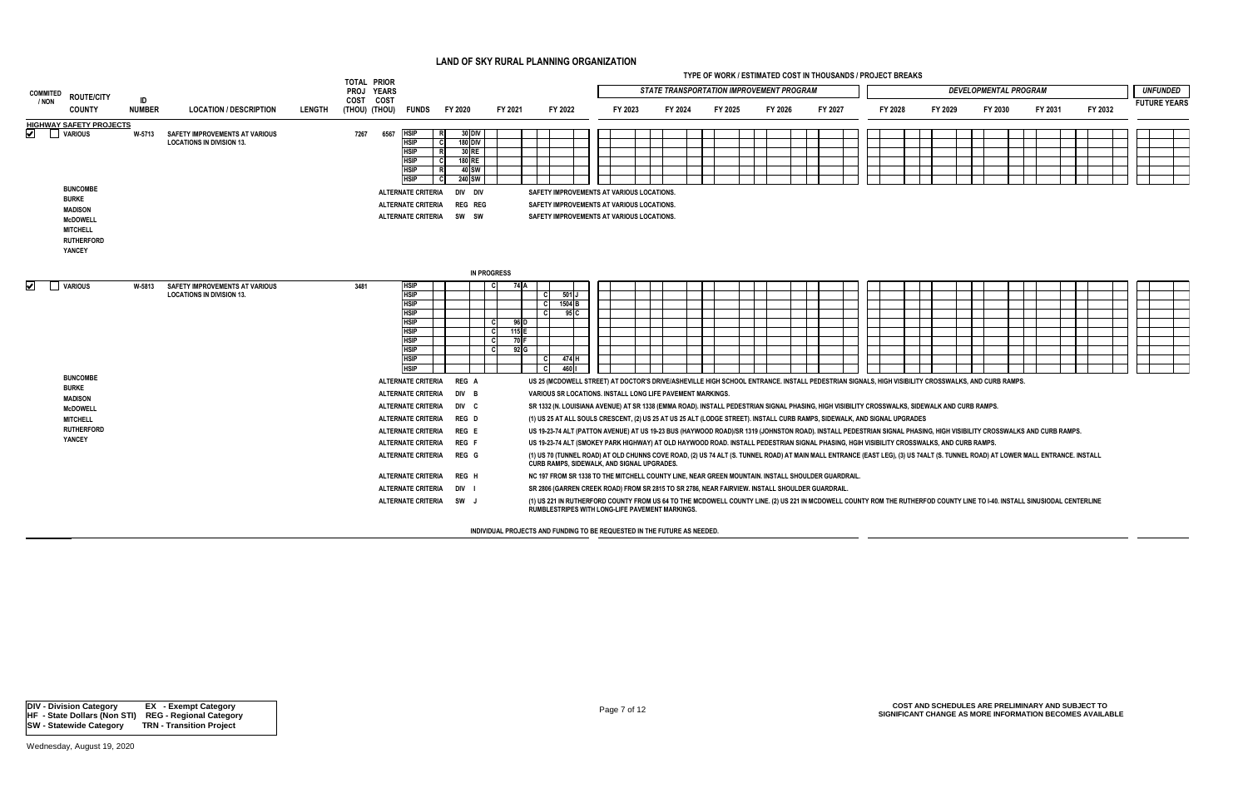| <b>COMMITED</b><br><b>ROUTE/CITY</b>                                                                                   |                     |                                                                           |               | <b>TOTAL PRIOR</b><br>PROJ YEARS                                                                                                                                                                                                                                                        |                                                                                       |                                           |                                                                                                                                                                                                                                                                                                                                                                                                                                                                                                                                                                                                                                                                                                                                                                                                                                                                                                                                                                                                                                                                                                                                                                                                                                                                                                                                                                                                                                                                                                                                                                          |         | <b>STATE TRANSPORTATION IMPROVEMENT PROGRAM</b> | TYPE OF WORK / ESTIMATED COST IN THOUSANDS / PROJECT BREAKS |         |         |         |         | <b>DEVELOPMENTAL PROGRAM</b> |         |         |  | <b>UNFUNDED</b>     |  |
|------------------------------------------------------------------------------------------------------------------------|---------------------|---------------------------------------------------------------------------|---------------|-----------------------------------------------------------------------------------------------------------------------------------------------------------------------------------------------------------------------------------------------------------------------------------------|---------------------------------------------------------------------------------------|-------------------------------------------|--------------------------------------------------------------------------------------------------------------------------------------------------------------------------------------------------------------------------------------------------------------------------------------------------------------------------------------------------------------------------------------------------------------------------------------------------------------------------------------------------------------------------------------------------------------------------------------------------------------------------------------------------------------------------------------------------------------------------------------------------------------------------------------------------------------------------------------------------------------------------------------------------------------------------------------------------------------------------------------------------------------------------------------------------------------------------------------------------------------------------------------------------------------------------------------------------------------------------------------------------------------------------------------------------------------------------------------------------------------------------------------------------------------------------------------------------------------------------------------------------------------------------------------------------------------------------|---------|-------------------------------------------------|-------------------------------------------------------------|---------|---------|---------|---------|------------------------------|---------|---------|--|---------------------|--|
| / NON<br><b>COUNTY</b>                                                                                                 | ID<br><b>NUMBER</b> | <b>LOCATION / DESCRIPTION</b>                                             | <b>LENGTH</b> | COST COST<br>(THOU) (THOU) FUNDS                                                                                                                                                                                                                                                        | FY 2020                                                                               | FY 2021                                   | FY 2022                                                                                                                                                                                                                                                                                                                                                                                                                                                                                                                                                                                                                                                                                                                                                                                                                                                                                                                                                                                                                                                                                                                                                                                                                                                                                                                                                                                                                                                                                                                                                                  | FY 2023 | FY 2024                                         | FY 2025                                                     | FY 2026 | FY 2027 | FY 2028 | FY 2029 | FY 2030                      | FY 2031 | FY 2032 |  | <b>FUTURE YEARS</b> |  |
| <b>HIGHWAY SAFETY PROJECTS</b><br>✔<br><b>VARIOUS</b>                                                                  | W-5713              | <b>SAFETY IMPROVEMENTS AT VARIOUS</b><br><b>LOCATIONS IN DIVISION 13.</b> |               | 6567<br><b>HSIP</b><br>7267<br><b>HSIP</b><br>- C<br><b>HSIP</b><br><b>HSIP</b><br>C.<br><b>HSIP</b><br><b>HSIP</b><br>- C                                                                                                                                                              | 30 DIV<br>180 DIV<br>30 RE<br>180 RE<br>40 SW<br><b>240 SW</b>                        |                                           |                                                                                                                                                                                                                                                                                                                                                                                                                                                                                                                                                                                                                                                                                                                                                                                                                                                                                                                                                                                                                                                                                                                                                                                                                                                                                                                                                                                                                                                                                                                                                                          |         |                                                 |                                                             |         |         |         |         |                              |         |         |  |                     |  |
| <b>BUNCOMBE</b><br><b>BURKE</b><br><b>MADISON</b><br><b>McDOWELL</b><br><b>MITCHELL</b><br><b>RUTHERFORD</b><br>YANCEY |                     |                                                                           |               | ALTERNATE CRITERIA<br><b>ALTERNATE CRITERIA</b><br>ALTERNATE CRITERIA SW SW                                                                                                                                                                                                             | div div<br><b>REG REG</b>                                                             |                                           | SAFETY IMPROVEMENTS AT VARIOUS LOCATIONS.<br>SAFETY IMPROVEMENTS AT VARIOUS LOCATIONS.<br>SAFETY IMPROVEMENTS AT VARIOUS LOCATIONS.                                                                                                                                                                                                                                                                                                                                                                                                                                                                                                                                                                                                                                                                                                                                                                                                                                                                                                                                                                                                                                                                                                                                                                                                                                                                                                                                                                                                                                      |         |                                                 |                                                             |         |         |         |         |                              |         |         |  |                     |  |
|                                                                                                                        |                     |                                                                           |               |                                                                                                                                                                                                                                                                                         |                                                                                       | <b>IN PROGRESS</b>                        |                                                                                                                                                                                                                                                                                                                                                                                                                                                                                                                                                                                                                                                                                                                                                                                                                                                                                                                                                                                                                                                                                                                                                                                                                                                                                                                                                                                                                                                                                                                                                                          |         |                                                 |                                                             |         |         |         |         |                              |         |         |  |                     |  |
| ✔<br><b>VARIOUS</b>                                                                                                    | W-5813              | <b>SAFETY IMPROVEMENTS AT VARIOUS</b><br><b>LOCATIONS IN DIVISION 13.</b> |               | <b>HSIP</b><br>3481<br><b>HSIP</b><br><b>HSIP</b><br><b>HSIP</b><br><b>HSIP</b><br><b>HSIP</b><br><b>HSIP</b><br><b>HSIP</b><br><b>HSIP</b><br><b>HSIP</b>                                                                                                                              |                                                                                       | 74 I A<br>96 D<br>115 $E$<br>70 F<br>92 G | 501 J<br>- CI<br>1504 <sub>B</sub><br><b>C</b><br>95 C<br>- C<br>474 H<br>- CI<br>460    <br>I CI                                                                                                                                                                                                                                                                                                                                                                                                                                                                                                                                                                                                                                                                                                                                                                                                                                                                                                                                                                                                                                                                                                                                                                                                                                                                                                                                                                                                                                                                        |         |                                                 |                                                             |         |         |         |         |                              |         |         |  |                     |  |
| <b>BUNCOMBE</b><br><b>BURKE</b><br><b>MADISON</b><br><b>McDOWELL</b><br><b>MITCHELL</b><br><b>RUTHERFORD</b><br>YANCEY |                     |                                                                           |               | <b>ALTERNATE CRITERIA</b><br><b>ALTERNATE CRITERIA</b><br>ALTERNATE CRITERIA<br><b>ALTERNATE CRITERIA</b><br><b>ALTERNATE CRITERIA</b><br><b>ALTERNATE CRITERIA</b><br><b>ALTERNATE CRITERIA</b><br><b>ALTERNATE CRITERIA</b><br><b>ALTERNATE CRITERIA</b><br><b>ALTERNATE CRITERIA</b> | REG A<br>DIV B<br>DIV C<br>REG D<br>REG E<br>REG F<br>REG G<br>REG H<br>DIV I<br>SW J |                                           | US 25 (MCDOWELL STREET) AT DOCTOR'S DRIVE/ASHEVILLE HIGH SCHOOL ENTRANCE. INSTALL PEDESTRIAN SIGNALS, HIGH VISIBILITY CROSSWALKS, AND CURB RAMPS.<br>VARIOUS SR LOCATIONS. INSTALL LONG LIFE PAVEMENT MARKINGS.<br>SR 1332 (N. LOUISIANA AVENUE) AT SR 1338 (EMMA ROAD). INSTALL PEDESTRIAN SIGNAL PHASING, HIGH VISIBILITY CROSSWALKS, SIDEWALK AND CURB RAMPS.<br>(1) US 25 AT ALL SOULS CRESCENT, (2) US 25 AT US 25 ALT (LODGE STREET). INSTALL CURB RAMPS, SIDEWALK, AND SIGNAL UPGRADES<br>US 19-23-74 ALT (PATTON AVENUE) AT US 19-23 BUS (HAYWOOD ROAD)/SR 1319 (JOHNSTON ROAD). INSTALL PEDESTRIAN SIGNAL PHASING, HIGH VISIBILITY CROSSWALKS AND CURB RAMPS.<br>US 19-23-74 ALT (SMOKEY PARK HIGHWAY) AT OLD HAYWOOD ROAD. INSTALL PEDESTRIAN SIGNAL PHASING, HGIH VISIBILITY CROSSWALKS, AND CURB RAMPS.<br>(1) US 70 (TUNNEL ROAD) AT OLD CHUNNS COVE ROAD, (2) US 74 ALT (S. TUNNEL ROAD) AT MAIN MALL ENTRANCE (EAST LEG), (3) US 74ALT (S. TUNNEL ROAD) AT LOWER MALL ENTRANCE. INSTALL<br>CURB RAMPS, SIDEWALK, AND SIGNAL UPGRADES.<br>NC 197 FROM SR 1338 TO THE MITCHELL COUNTY LINE. NEAR GREEN MOUNTAIN. INSTALL SHOULDER GUARDRAIL<br>SR 2806 (GARREN CREEK ROAD) FROM SR 2815 TO SR 2786, NEAR FAIRVIEW. INSTALL SHOULDER GUARDRAIL.<br>(1) US 221 IN RUTHERFORD COUNTY FROM US 64 TO THE MCDOWELL COUNTY LINE. (2) US 221 IN MCDOWELL COUNTY ROM THE RUTHERFOD COUNTY LINE TO 1-40. INSTALL SINUSIODAL CENTERLINE<br>RUMBLESTRIPES WITH LONG-LIFE PAVEMENT MARKINGS.<br>INDIVIDUAL PROJECTS AND FUNDING TO BE REQUESTED IN THE FUTURE AS NEEDED. |         |                                                 |                                                             |         |         |         |         |                              |         |         |  |                     |  |

| × |    |   |
|---|----|---|
|   | ۰. | i |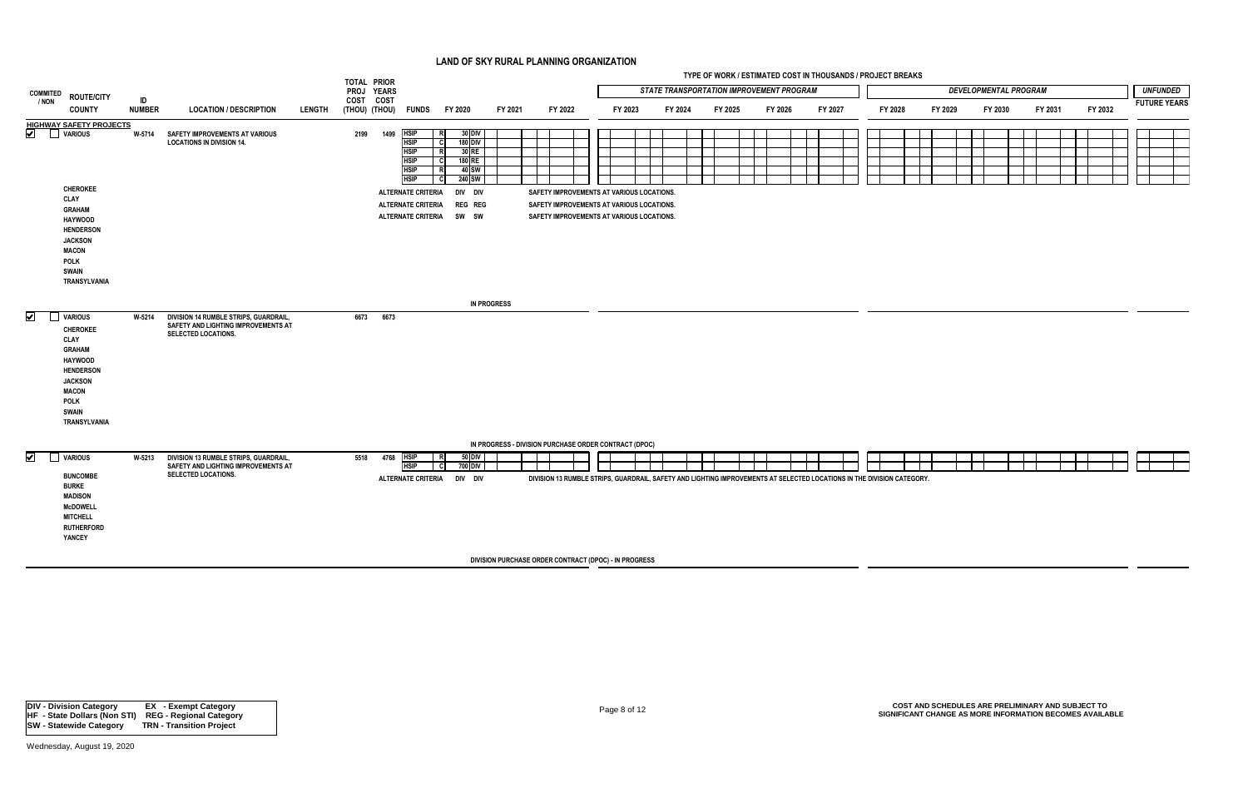|                                                |                                                                                                                                                                                          |                     |                                                                                                            |               | TOTAL PRIOR |           |                                                                                                                                                                                       |                                                                                                                                               |                                                       |         |  |                                                                                                                                     |         | TYPE OF WORK / ESTIMATED COST IN THOUSANDS / PROJECT BREAKS                                                            |         |         |  |         |         |                              |         |         |                     |
|------------------------------------------------|------------------------------------------------------------------------------------------------------------------------------------------------------------------------------------------|---------------------|------------------------------------------------------------------------------------------------------------|---------------|-------------|-----------|---------------------------------------------------------------------------------------------------------------------------------------------------------------------------------------|-----------------------------------------------------------------------------------------------------------------------------------------------|-------------------------------------------------------|---------|--|-------------------------------------------------------------------------------------------------------------------------------------|---------|------------------------------------------------------------------------------------------------------------------------|---------|---------|--|---------|---------|------------------------------|---------|---------|---------------------|
| <b>COMMITED</b>                                | <b>ROUTE/CITY</b>                                                                                                                                                                        |                     |                                                                                                            |               | PROJ YEARS  |           |                                                                                                                                                                                       |                                                                                                                                               |                                                       |         |  |                                                                                                                                     |         | <b>STATE TRANSPORTATION IMPROVEMENT PROGRAM</b>                                                                        |         |         |  |         |         | <b>DEVELOPMENTAL PROGRAM</b> |         |         | <b>UNFUNDED</b>     |
| / NON                                          | <b>COUNTY</b>                                                                                                                                                                            | ID<br><b>NUMBER</b> | <b>LOCATION / DESCRIPTION</b>                                                                              | <b>LENGTH</b> | COST COST   |           | (THOU) (THOU) FUNDS                                                                                                                                                                   | FY 2020                                                                                                                                       | FY 2021                                               | FY 2022 |  | FY 2023                                                                                                                             | FY 2024 | FY 2025                                                                                                                | FY 2026 | FY 2027 |  | FY 2028 | FY 2029 | FY 2030                      | FY 2031 | FY 2032 | <b>FUTURE YEARS</b> |
| $\boxed{\blacktriangledown}$<br><b>VARIOUS</b> | <b>HIGHWAY SAFETY PROJECTS</b><br><b>CHEROKEE</b><br>CLAY<br>GRAHAM<br><b>HAYWOOD</b><br><b>HENDERSON</b><br><b>JACKSON</b><br><b>MACON</b><br><b>POLK</b>                               |                     | W-5714 SAFETY IMPROVEMENTS AT VARIOUS<br><b>LOCATIONS IN DIVISION 14.</b>                                  |               | 2199        |           | <b>HSIP</b><br>1499<br><b>HSIP</b><br><b>HSIP</b><br><b>HSIP</b><br><b>HSIP</b><br><b>HSIP</b><br><b>ALTERNATE CRITERIA</b><br><b>ALTERNATE CRITERIA</b><br><b>ALTERNATE CRITERIA</b> | $30$ DIV<br>R<br>- cl<br><b>180 DIV</b><br>30 RE<br>R<br>180 RE<br>- cl<br>R<br>40 SW<br>240 SW<br>- CI<br>div div<br><b>REG REG</b><br>SW SW |                                                       |         |  | SAFETY IMPROVEMENTS AT VARIOUS LOCATIONS.<br>SAFETY IMPROVEMENTS AT VARIOUS LOCATIONS.<br>SAFETY IMPROVEMENTS AT VARIOUS LOCATIONS. |         |                                                                                                                        |         |         |  |         |         |                              |         |         |                     |
| $\overline{\mathbf{v}}$<br><b>VARIOUS</b>      | <b>SWAIN</b><br>TRANSYLVANIA<br><b>CHEROKEE</b><br>CLAY<br><b>GRAHAM</b><br><b>HAYWOOD</b><br><b>HENDERSON</b><br><b>JACKSON</b><br><b>MACON</b><br>POLK<br><b>SWAIN</b><br>TRANSYLVANIA | W-5214              | DIVISION 14 RUMBLE STRIPS, GUARDRAIL,<br>SAFETY AND LIGHTING IMPROVEMENTS AT<br><b>SELECTED LOCATIONS.</b> |               |             | 6673 6673 |                                                                                                                                                                                       |                                                                                                                                               | <b>IN PROGRESS</b>                                    |         |  |                                                                                                                                     |         |                                                                                                                        |         |         |  |         |         |                              |         |         |                     |
| $\blacktriangledown$<br>$\mathbf{1}$           | <b>VARIOUS</b><br><b>BUNCOMBE</b><br><b>BURKE</b><br><b>MADISON</b><br><b>McDOWELL</b><br><b>MITCHELL</b><br><b>RUTHERFORD</b><br>YANCEY                                                 | W-5213              | DIVISION 13 RUMBLE STRIPS, GUARDRAIL,<br>SAFETY AND LIGHTING IMPROVEMENTS AT<br><b>SELECTED LOCATIONS.</b> |               | 5518        |           | 4768<br><b>HSIP</b><br><b>HSIP</b><br><b>ALTERNATE CRITERIA</b>                                                                                                                       | 50 DIV<br>R<br>700 DIV<br>- Cl<br>DIV DIV                                                                                                     | IN PROGRESS - DIVISION PURCHASE ORDER CONTRACT (DPOC) |         |  |                                                                                                                                     |         | DIVISION 13 RUMBLE STRIPS, GUARDRAIL, SAFETY AND LIGHTING IMPROVEMENTS AT SELECTED LOCATIONS IN THE DIVISION CATEGORY. |         |         |  |         |         |                              |         |         |                     |
|                                                |                                                                                                                                                                                          |                     |                                                                                                            |               |             |           |                                                                                                                                                                                       |                                                                                                                                               | DIVISION PURCHASE ORDER CONTRACT (DPOC) - IN PROGRESS |         |  |                                                                                                                                     |         |                                                                                                                        |         |         |  |         |         |                              |         |         |                     |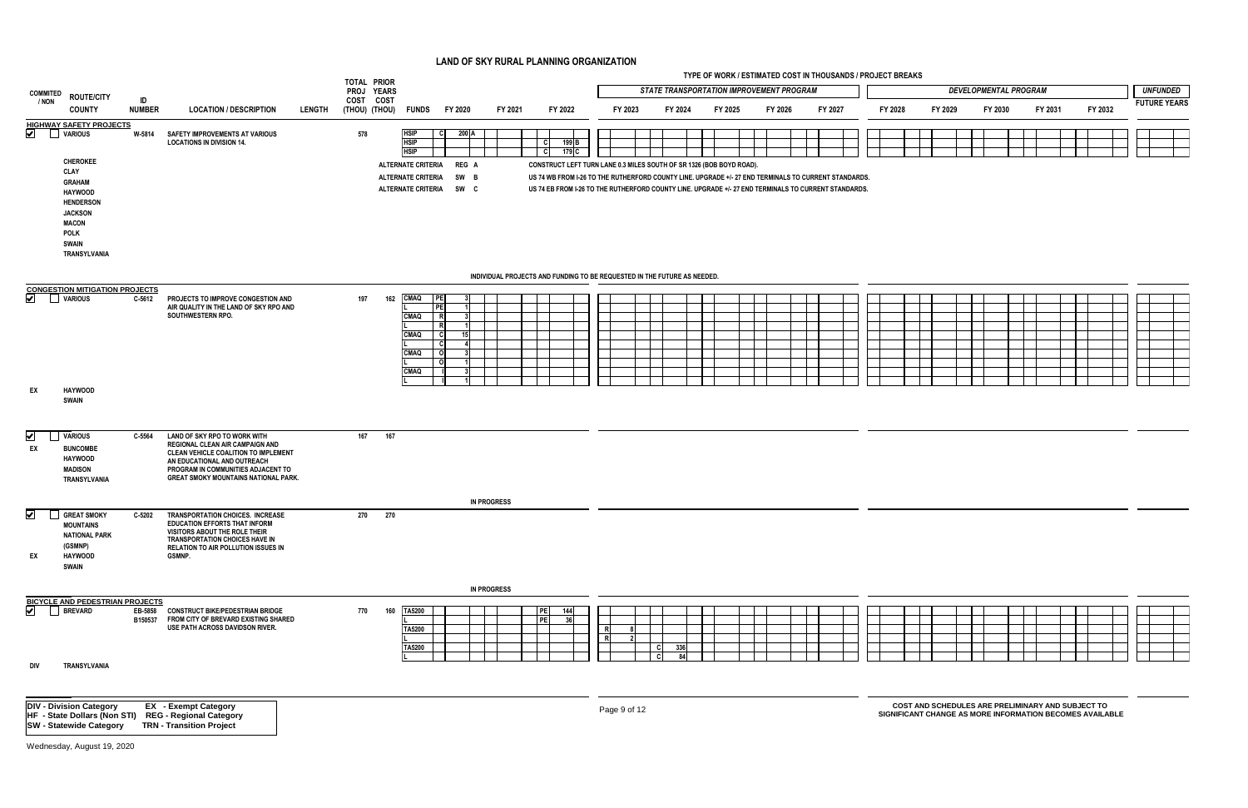|                                        |                                                                                                                                |               |                                                                                                                                                                                                                             |               | TOTAL PRIOR             |                                                                            |                                                                     |                    |                                                                                                                                                                                                                                                                                          |              |            |             | TYPE OF WORK / ESTIMATED COST IN THOUSANDS / PROJECT BREAKS |         |         |         |                                                   |                              |         |                                                          |                     |
|----------------------------------------|--------------------------------------------------------------------------------------------------------------------------------|---------------|-----------------------------------------------------------------------------------------------------------------------------------------------------------------------------------------------------------------------------|---------------|-------------------------|----------------------------------------------------------------------------|---------------------------------------------------------------------|--------------------|------------------------------------------------------------------------------------------------------------------------------------------------------------------------------------------------------------------------------------------------------------------------------------------|--------------|------------|-------------|-------------------------------------------------------------|---------|---------|---------|---------------------------------------------------|------------------------------|---------|----------------------------------------------------------|---------------------|
| <b>COMMITED</b>                        | <b>ROUTE/CITY</b>                                                                                                              | ID            |                                                                                                                                                                                                                             |               | PROJ YEARS<br>COST COST |                                                                            |                                                                     |                    |                                                                                                                                                                                                                                                                                          |              |            |             | <b>STATE TRANSPORTATION IMPROVEMENT PROGRAM</b>             |         |         |         |                                                   | <b>DEVELOPMENTAL PROGRAM</b> |         |                                                          | <b>UNFUNDED</b>     |
| / NON                                  | <b>COUNTY</b>                                                                                                                  | <b>NUMBER</b> | <b>LOCATION / DESCRIPTION</b>                                                                                                                                                                                               | <b>LENGTH</b> |                         | (THOU) (THOU) FUNDS                                                        | FY 2020                                                             | FY 2021            | FY 2022                                                                                                                                                                                                                                                                                  | FY 2023      |            | FY 2024     | FY 2025                                                     | FY 2026 | FY 2027 | FY 2028 | FY 2029                                           | FY 2030                      | FY 2031 | FY 2032                                                  | <b>FUTURE YEARS</b> |
| $\blacktriangledown$<br><b>VARIOUS</b> | <b>HIGHWAY SAFETY PROJECTS</b><br><b>CHEROKEE</b>                                                                              |               | W-5814 SAFETY IMPROVEMENTS AT VARIOUS<br><b>LOCATIONS IN DIVISION 14.</b>                                                                                                                                                   |               | 578                     | <b>HSIP</b><br><b>HSIP</b><br><b>HSIP</b><br>ALTERNATE CRITERIA REG A      | - CI<br>200 A                                                       |                    | C I<br>199 B<br>$\mathbf{C}$<br>179 C<br>CONSTRUCT LEFT TURN LANE 0.3 MILES SOUTH OF SR 1326 (BOB BOYD ROAD).                                                                                                                                                                            |              |            |             |                                                             |         |         |         |                                                   |                              |         |                                                          |                     |
|                                        | CLAY<br>GRAHAM<br><b>HAYWOOD</b><br><b>HENDERSON</b><br><b>JACKSON</b><br><b>MACON</b><br><b>POLK</b><br>SWAIN<br>TRANSYLVANIA |               |                                                                                                                                                                                                                             |               |                         | <b>ALTERNATE CRITERIA</b><br>ALTERNATE CRITERIA SW C                       | SW B                                                                |                    | US 74 WB FROM I-26 TO THE RUTHERFORD COUNTY LINE. UPGRADE +/- 27 END TERMINALS TO CURRENT STANDARDS.<br>US 74 EB FROM I-26 TO THE RUTHERFORD COUNTY LINE, UPGRADE +/- 27 END TERMINALS TO CURRENT STANDARDS.<br>INDIVIDUAL PROJECTS AND FUNDING TO BE REQUESTED IN THE FUTURE AS NEEDED. |              |            |             |                                                             |         |         |         |                                                   |                              |         |                                                          |                     |
|                                        | <b>CONGESTION MITIGATION PROJECTS</b>                                                                                          |               |                                                                                                                                                                                                                             |               |                         |                                                                            |                                                                     |                    |                                                                                                                                                                                                                                                                                          |              |            |             |                                                             |         |         |         |                                                   |                              |         |                                                          |                     |
| ⊻<br><b>VARIOUS</b><br>EX              | <b>HAYWOOD</b>                                                                                                                 | C-5612        | PROJECTS TO IMPROVE CONGESTION AND<br>AIR QUALITY IN THE LAND OF SKY RPO AND<br>SOUTHWESTERN RPO.                                                                                                                           |               | 197                     | CMAQ PE<br>162<br><b>CMAQ</b><br><b>CMAQ</b><br><b>CMAQ</b><br><b>CMAQ</b> | l PEI<br>R<br>$\mathbf R$<br>- cl<br>15<br>- CI<br>- ol<br>$\Omega$ |                    |                                                                                                                                                                                                                                                                                          |              |            |             |                                                             |         |         |         |                                                   |                              |         |                                                          |                     |
|                                        | SWAIN                                                                                                                          |               |                                                                                                                                                                                                                             |               |                         |                                                                            |                                                                     |                    |                                                                                                                                                                                                                                                                                          |              |            |             |                                                             |         |         |         |                                                   |                              |         |                                                          |                     |
| $\overline{\mathbf{v}}$<br>EX          | <b>VARIOUS</b><br><b>BUNCOMBE</b><br><b>HAYWOOD</b><br><b>MADISON</b><br>TRANSYLVANIA                                          | C-5564        | LAND OF SKY RPO TO WORK WITH<br>REGIONAL CLEAN AIR CAMPAIGN AND<br>CLEAN VEHICLE COALITION TO IMPLEMENT<br>AN EDUCATIONAL AND OUTREACH<br>PROGRAM IN COMMUNITIES ADJACENT TO<br><b>GREAT SMOKY MOUNTAINS NATIONAL PARK.</b> |               | 167                     | 167                                                                        |                                                                     |                    |                                                                                                                                                                                                                                                                                          |              |            |             |                                                             |         |         |         |                                                   |                              |         |                                                          |                     |
| $\vert\bm{\mathsf{v}}\vert$<br>EX      | <b>GREAT SMOKY</b><br><b>MOUNTAINS</b><br><b>NATIONAL PARK</b><br>(GSMNP)<br><b>HAYWOOD</b><br><b>SWAIN</b>                    | C-5202        | <b>TRANSPORTATION CHOICES. INCREASE</b><br><b>EDUCATION EFFORTS THAT INFORM</b><br>VISITORS ABOUT THE ROLE THEIR<br><b>TRANSPORTATION CHOICES HAVE IN</b><br>RELATION TO AIR POLLUTION ISSUES IN<br>GSMNP.                  |               | 270                     | 270                                                                        |                                                                     | <b>IN PROGRESS</b> |                                                                                                                                                                                                                                                                                          |              |            |             |                                                             |         |         |         |                                                   |                              |         |                                                          |                     |
|                                        |                                                                                                                                |               |                                                                                                                                                                                                                             |               |                         |                                                                            |                                                                     | <b>IN PROGRESS</b> |                                                                                                                                                                                                                                                                                          |              |            |             |                                                             |         |         |         |                                                   |                              |         |                                                          |                     |
| DIV                                    | BICYCLE AND PEDESTRIAN PROJECTS<br>BREVARD ER-5858<br>TRANSYLVANIA                                                             | B150537       | EB-5858 CONSTRUCT BIKE/PEDESTRIAN BRIDGE<br>FROM CITY OF BREVARD EXISTING SHARED<br>USE PATH ACROSS DAVIDSON RIVER.                                                                                                         |               | 770                     | <b>TA5200</b><br>160<br><b>TA5200</b><br>TA5200                            |                                                                     |                    | PE<br>144<br>PE<br>36                                                                                                                                                                                                                                                                    | R.<br>-R.    | -CI<br>-cl | 336 l<br>84 |                                                             |         |         |         |                                                   |                              |         |                                                          |                     |
|                                        | <b>DIV - Division Category</b><br>HF - State Dollars (Non STI)<br><b>SW - Statewide Category</b>                               |               | <b>EX</b> - Exempt Category<br><b>REG - Regional Category</b><br><b>TRN - Transition Project</b>                                                                                                                            |               |                         |                                                                            |                                                                     |                    |                                                                                                                                                                                                                                                                                          | Page 9 of 12 |            |             |                                                             |         |         |         | COST AND SCHEDULES ARE PRELIMINARY AND SUBJECT TO |                              |         | SIGNIFICANT CHANGE AS MORE INFORMATION BECOMES AVAILABLE |                     |

| × |         |
|---|---------|
| í | i<br>۰. |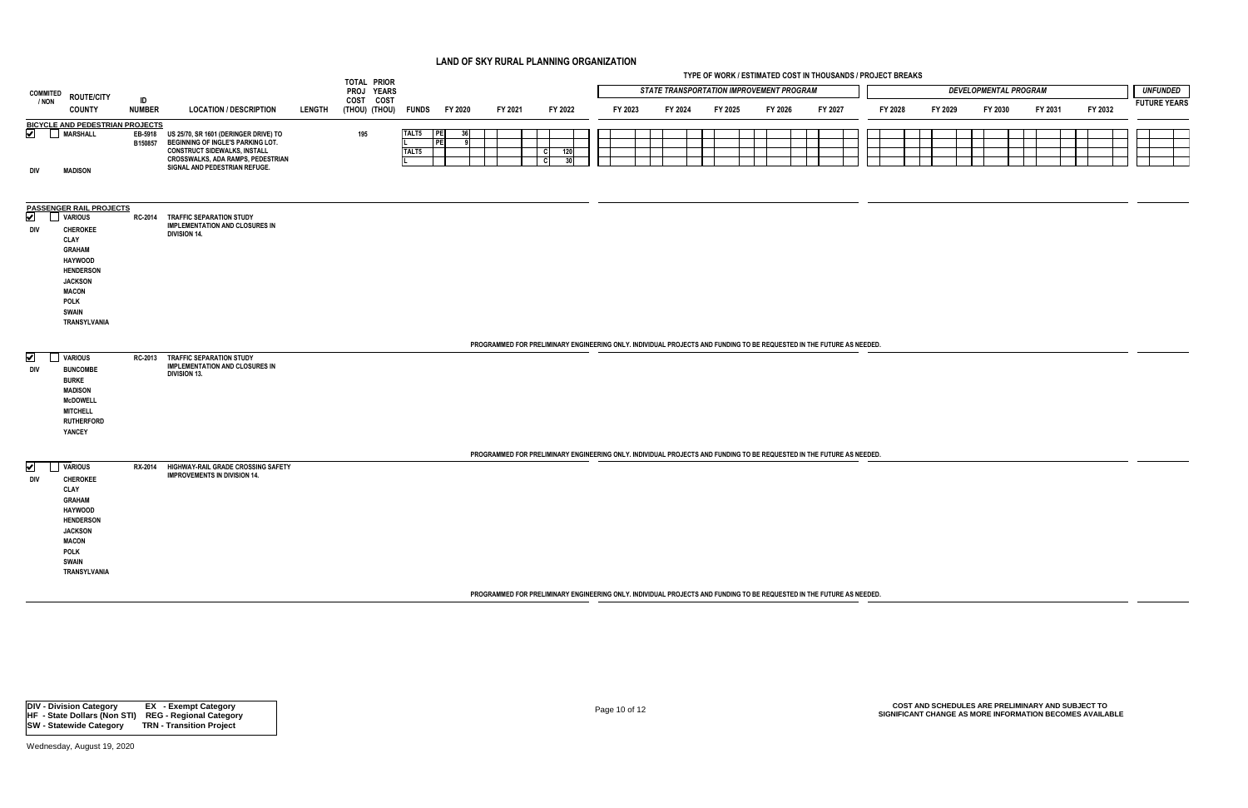|                              |                                                    |                     |                                                                                           |               | TOTAL PRIOR                 |          |           |         |                                                                                                                       |         |         | TYPE OF WORK / ESTIMATED COST IN THOUSANDS / PROJECT BREAKS |         |         |         |         |                              |         |         |                     |
|------------------------------|----------------------------------------------------|---------------------|-------------------------------------------------------------------------------------------|---------------|-----------------------------|----------|-----------|---------|-----------------------------------------------------------------------------------------------------------------------|---------|---------|-------------------------------------------------------------|---------|---------|---------|---------|------------------------------|---------|---------|---------------------|
| <b>COMMITED</b>              | <b>ROUTE/CITY</b>                                  |                     |                                                                                           |               | PROJ YEARS                  |          |           |         |                                                                                                                       |         |         | <b>STATE TRANSPORTATION IMPROVEMENT PROGRAM</b>             |         |         |         |         | <b>DEVELOPMENTAL PROGRAM</b> |         |         | <b>UNFUNDED</b>     |
| / NON                        |                                                    | ID<br><b>NUMBER</b> |                                                                                           |               | COST COST                   |          |           |         |                                                                                                                       |         |         |                                                             |         |         |         |         |                              |         | FY 2032 | <b>FUTURE YEARS</b> |
|                              | <b>COUNTY</b>                                      |                     | <b>LOCATION / DESCRIPTION</b>                                                             | <b>LENGTH</b> | (THOU) (THOU) FUNDS FY 2020 |          |           | FY 2021 | FY 2022                                                                                                               | FY 2023 | FY 2024 | FY 2025                                                     | FY 2026 | FY 2027 | FY 2028 | FY 2029 | FY 2030                      | FY 2031 |         |                     |
|                              | <b>BICYCLE AND PEDESTRIAN PROJECTS</b><br>MARSHALL |                     |                                                                                           |               |                             | TALT5 PE | 36        |         |                                                                                                                       |         |         |                                                             |         |         |         |         |                              |         |         |                     |
| ⊻                            |                                                    | B150857             | EB-5918 US 25/70, SR 1601 (DERINGER DRIVE) TO<br><b>BEGINNING OF INGLE'S PARKING LOT.</b> |               | 195                         |          | <b>PE</b> |         |                                                                                                                       |         |         |                                                             |         |         |         |         |                              |         |         |                     |
|                              |                                                    |                     | <b>CONSTRUCT SIDEWALKS, INSTALL</b>                                                       |               |                             | TALT5    |           |         | $\overline{c}$<br>120                                                                                                 |         |         |                                                             |         |         |         |         |                              |         |         |                     |
|                              |                                                    |                     | CROSSWALKS, ADA RAMPS, PEDESTRIAN<br>SIGNAL AND PEDESTRIAN REFUGE.                        |               |                             |          |           |         | l cl<br>30                                                                                                            |         |         |                                                             |         |         |         |         |                              |         |         |                     |
| DIV                          | <b>MADISON</b>                                     |                     |                                                                                           |               |                             |          |           |         |                                                                                                                       |         |         |                                                             |         |         |         |         |                              |         |         |                     |
|                              |                                                    |                     |                                                                                           |               |                             |          |           |         |                                                                                                                       |         |         |                                                             |         |         |         |         |                              |         |         |                     |
|                              |                                                    |                     |                                                                                           |               |                             |          |           |         |                                                                                                                       |         |         |                                                             |         |         |         |         |                              |         |         |                     |
| $\boxed{\blacktriangledown}$ | <b>PASSENGER RAIL PROJECTS</b><br><b>VARIOUS</b>   |                     | RC-2014 TRAFFIC SEPARATION STUDY                                                          |               |                             |          |           |         |                                                                                                                       |         |         |                                                             |         |         |         |         |                              |         |         |                     |
| div                          | <b>CHEROKEE</b>                                    |                     | <b>IMPLEMENTATION AND CLOSURES IN</b>                                                     |               |                             |          |           |         |                                                                                                                       |         |         |                                                             |         |         |         |         |                              |         |         |                     |
|                              | CLAY                                               |                     | <b>DIVISION 14.</b>                                                                       |               |                             |          |           |         |                                                                                                                       |         |         |                                                             |         |         |         |         |                              |         |         |                     |
|                              | <b>GRAHAM</b>                                      |                     |                                                                                           |               |                             |          |           |         |                                                                                                                       |         |         |                                                             |         |         |         |         |                              |         |         |                     |
|                              | <b>HAYWOOD</b>                                     |                     |                                                                                           |               |                             |          |           |         |                                                                                                                       |         |         |                                                             |         |         |         |         |                              |         |         |                     |
|                              | <b>HENDERSON</b>                                   |                     |                                                                                           |               |                             |          |           |         |                                                                                                                       |         |         |                                                             |         |         |         |         |                              |         |         |                     |
|                              | <b>JACKSON</b>                                     |                     |                                                                                           |               |                             |          |           |         |                                                                                                                       |         |         |                                                             |         |         |         |         |                              |         |         |                     |
|                              | <b>MACON</b><br><b>POLK</b>                        |                     |                                                                                           |               |                             |          |           |         |                                                                                                                       |         |         |                                                             |         |         |         |         |                              |         |         |                     |
|                              | <b>SWAIN</b>                                       |                     |                                                                                           |               |                             |          |           |         |                                                                                                                       |         |         |                                                             |         |         |         |         |                              |         |         |                     |
|                              | TRANSYLVANIA                                       |                     |                                                                                           |               |                             |          |           |         |                                                                                                                       |         |         |                                                             |         |         |         |         |                              |         |         |                     |
|                              |                                                    |                     |                                                                                           |               |                             |          |           |         |                                                                                                                       |         |         |                                                             |         |         |         |         |                              |         |         |                     |
|                              |                                                    |                     |                                                                                           |               |                             |          |           |         | PROGRAMMED FOR PRELIMINARY ENGINEERING ONLY. INDIVIDUAL PROJECTS AND FUNDING TO BE REQUESTED IN THE FUTURE AS NEEDED. |         |         |                                                             |         |         |         |         |                              |         |         |                     |
| $\blacktriangleright$        | <b>VARIOUS</b>                                     | <b>RC-2013</b>      | <b>TRAFFIC SEPARATION STUDY</b><br><b>IMPLEMENTATION AND CLOSURES IN</b>                  |               |                             |          |           |         |                                                                                                                       |         |         |                                                             |         |         |         |         |                              |         |         |                     |
| DIV                          | <b>BUNCOMBE</b>                                    |                     | <b>DIVISION 13.</b>                                                                       |               |                             |          |           |         |                                                                                                                       |         |         |                                                             |         |         |         |         |                              |         |         |                     |
|                              | <b>BURKE</b>                                       |                     |                                                                                           |               |                             |          |           |         |                                                                                                                       |         |         |                                                             |         |         |         |         |                              |         |         |                     |
|                              | <b>MADISON</b><br><b>McDOWELL</b>                  |                     |                                                                                           |               |                             |          |           |         |                                                                                                                       |         |         |                                                             |         |         |         |         |                              |         |         |                     |
|                              | <b>MITCHELL</b>                                    |                     |                                                                                           |               |                             |          |           |         |                                                                                                                       |         |         |                                                             |         |         |         |         |                              |         |         |                     |
|                              | <b>RUTHERFORD</b>                                  |                     |                                                                                           |               |                             |          |           |         |                                                                                                                       |         |         |                                                             |         |         |         |         |                              |         |         |                     |
|                              | YANCEY                                             |                     |                                                                                           |               |                             |          |           |         |                                                                                                                       |         |         |                                                             |         |         |         |         |                              |         |         |                     |
|                              |                                                    |                     |                                                                                           |               |                             |          |           |         | PROGRAMMED FOR PRELIMINARY ENGINEERING ONLY. INDIVIDUAL PROJECTS AND FUNDING TO BE REQUESTED IN THE FUTURE AS NEEDED. |         |         |                                                             |         |         |         |         |                              |         |         |                     |
| $\overline{\mathbf{v}}$      | <b>VARIOUS</b>                                     |                     | RX-2014 HIGHWAY-RAIL GRADE CROSSING SAFETY                                                |               |                             |          |           |         |                                                                                                                       |         |         |                                                             |         |         |         |         |                              |         |         |                     |
| DIV                          | <b>CHEROKEE</b>                                    |                     | <b>IMPROVEMENTS IN DIVISION 14.</b>                                                       |               |                             |          |           |         |                                                                                                                       |         |         |                                                             |         |         |         |         |                              |         |         |                     |
|                              | CLAY                                               |                     |                                                                                           |               |                             |          |           |         |                                                                                                                       |         |         |                                                             |         |         |         |         |                              |         |         |                     |
|                              | <b>GRAHAM</b>                                      |                     |                                                                                           |               |                             |          |           |         |                                                                                                                       |         |         |                                                             |         |         |         |         |                              |         |         |                     |
|                              | <b>HAYWOOD</b>                                     |                     |                                                                                           |               |                             |          |           |         |                                                                                                                       |         |         |                                                             |         |         |         |         |                              |         |         |                     |
|                              | <b>HENDERSON</b>                                   |                     |                                                                                           |               |                             |          |           |         |                                                                                                                       |         |         |                                                             |         |         |         |         |                              |         |         |                     |
|                              | <b>JACKSON</b>                                     |                     |                                                                                           |               |                             |          |           |         |                                                                                                                       |         |         |                                                             |         |         |         |         |                              |         |         |                     |
|                              | <b>MACON</b>                                       |                     |                                                                                           |               |                             |          |           |         |                                                                                                                       |         |         |                                                             |         |         |         |         |                              |         |         |                     |
|                              | <b>POLK</b>                                        |                     |                                                                                           |               |                             |          |           |         |                                                                                                                       |         |         |                                                             |         |         |         |         |                              |         |         |                     |
|                              | <b>SWAIN</b><br>TRANSYLVANIA                       |                     |                                                                                           |               |                             |          |           |         |                                                                                                                       |         |         |                                                             |         |         |         |         |                              |         |         |                     |
|                              |                                                    |                     |                                                                                           |               |                             |          |           |         |                                                                                                                       |         |         |                                                             |         |         |         |         |                              |         |         |                     |

**PROGRAMMED FOR PRELIMINARY ENGINEERING ONLY. INDIVIDUAL PROJECTS AND FUNDING TO BE REQUESTED IN THE FUTURE AS NEEDED.**

Page 10 of 12 **COST AND SCHEDULES ARE PRELIMINARY AND SUBJECT TO SIGNIFICANT CHANGE AS MORE INFORMATION BECOMES AVAILABLE**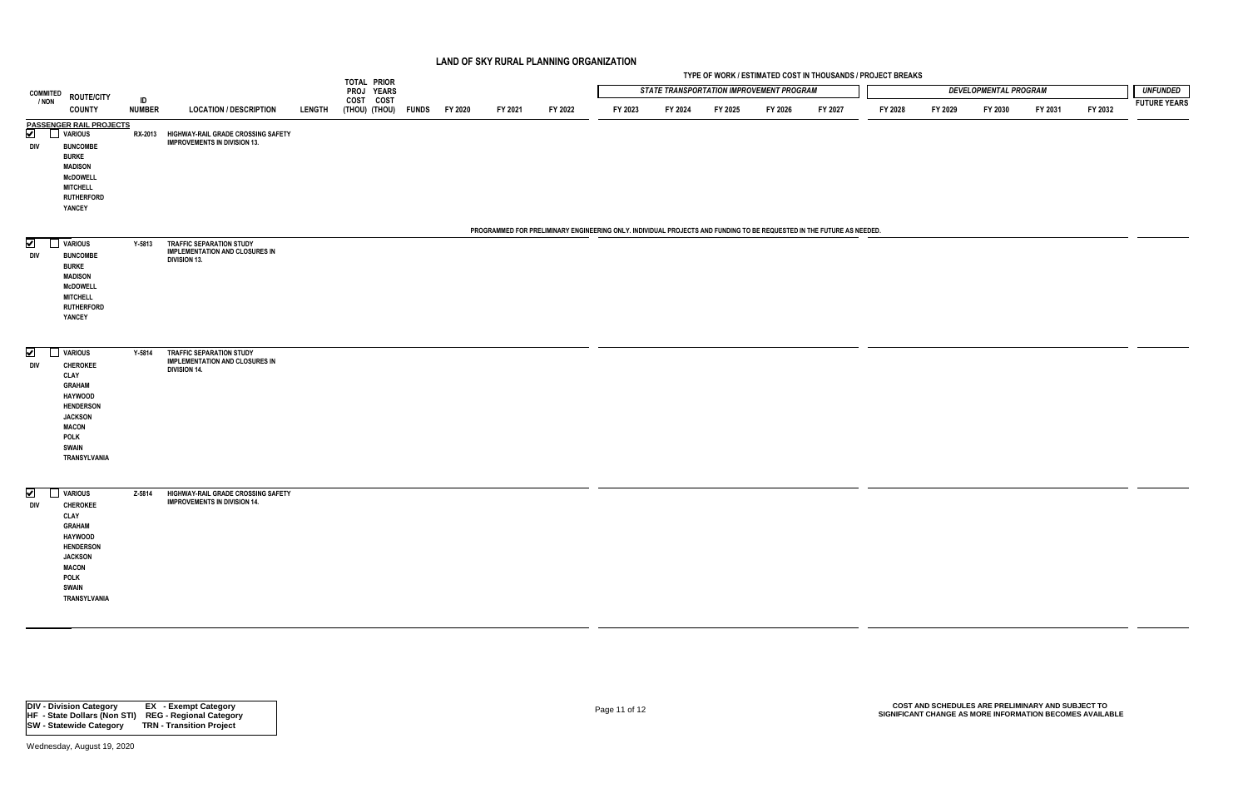|                             |                                                                                                                                                                                          |                     |                                                                                                 |               | TOTAL PRIOR                      |         |         |         |                                                                                                                       |         |         |                                                 | TYPE OF WORK / ESTIMATED COST IN THOUSANDS / PROJECT BREAKS |         |         |                              |         |         |                     |
|-----------------------------|------------------------------------------------------------------------------------------------------------------------------------------------------------------------------------------|---------------------|-------------------------------------------------------------------------------------------------|---------------|----------------------------------|---------|---------|---------|-----------------------------------------------------------------------------------------------------------------------|---------|---------|-------------------------------------------------|-------------------------------------------------------------|---------|---------|------------------------------|---------|---------|---------------------|
| <b>COMMITED</b>             |                                                                                                                                                                                          |                     |                                                                                                 |               | PROJ YEARS                       |         |         |         |                                                                                                                       |         |         | <b>STATE TRANSPORTATION IMPROVEMENT PROGRAM</b> |                                                             |         |         | <b>DEVELOPMENTAL PROGRAM</b> |         |         | <b>UNFUNDED</b>     |
| / NON                       | <b>ROUTE/CITY</b><br><b>COUNTY</b>                                                                                                                                                       | ID<br><b>NUMBER</b> | <b>LOCATION / DESCRIPTION</b>                                                                   | <b>LENGTH</b> | COST COST<br>(THOU) (THOU) FUNDS | FY 2020 | FY 2021 | FY 2022 | FY 2023                                                                                                               | FY 2024 | FY 2025 | FY 2026                                         | FY 2027                                                     | FY 2028 | FY 2029 | FY 2030                      | FY 2031 | FY 2032 | <b>FUTURE YEARS</b> |
| $\blacktriangledown$<br>DIV | <b>PASSENGER RAIL PROJECTS</b><br><b>VARIOUS</b><br><b>BUNCOMBE</b><br><b>BURKE</b>                                                                                                      |                     | RX-2013 HIGHWAY-RAIL GRADE CROSSING SAFETY<br><b>IMPROVEMENTS IN DIVISION 13.</b>               |               |                                  |         |         |         |                                                                                                                       |         |         |                                                 |                                                             |         |         |                              |         |         |                     |
|                             | <b>MADISON</b><br><b>McDOWELL</b><br><b>MITCHELL</b><br><b>RUTHERFORD</b><br>YANCEY                                                                                                      |                     |                                                                                                 |               |                                  |         |         |         |                                                                                                                       |         |         |                                                 |                                                             |         |         |                              |         |         |                     |
|                             |                                                                                                                                                                                          |                     |                                                                                                 |               |                                  |         |         |         | PROGRAMMED FOR PRELIMINARY ENGINEERING ONLY. INDIVIDUAL PROJECTS AND FUNDING TO BE REQUESTED IN THE FUTURE AS NEEDED. |         |         |                                                 |                                                             |         |         |                              |         |         |                     |
| ⊻<br>DIV                    | <b>VARIOUS</b><br><b>BUNCOMBE</b><br><b>BURKE</b><br><b>MADISON</b><br><b>McDOWELL</b><br><b>MITCHELL</b><br><b>RUTHERFORD</b><br>YANCEY                                                 | Y-5813              | <b>TRAFFIC SEPARATION STUDY</b><br><b>IMPLEMENTATION AND CLOSURES IN</b><br><b>DIVISION 13.</b> |               |                                  |         |         |         |                                                                                                                       |         |         |                                                 |                                                             |         |         |                              |         |         |                     |
| ✔<br>DIV                    | VARIOUS<br><b>CHEROKEE</b><br><b>CLAY</b><br><b>GRAHAM</b><br><b>HAYWOOD</b><br><b>HENDERSON</b><br><b>JACKSON</b><br><b>MACON</b><br><b>POLK</b><br><b>SWAIN</b><br>TRANSYLVANIA        | Y-5814              | <b>TRAFFIC SEPARATION STUDY</b><br><b>IMPLEMENTATION AND CLOSURES IN</b><br><b>DIVISION 14.</b> |               |                                  |         |         |         |                                                                                                                       |         |         |                                                 |                                                             |         |         |                              |         |         |                     |
| ✔<br>DIV                    | <b>VARIOUS</b><br><b>CHEROKEE</b><br><b>CLAY</b><br><b>GRAHAM</b><br><b>HAYWOOD</b><br><b>HENDERSON</b><br><b>JACKSON</b><br><b>MACON</b><br><b>POLK</b><br><b>SWAIN</b><br>TRANSYLVANIA | Z-5814              | HIGHWAY-RAIL GRADE CROSSING SAFETY<br><b>IMPROVEMENTS IN DIVISION 14.</b>                       |               |                                  |         |         |         |                                                                                                                       |         |         |                                                 |                                                             |         |         |                              |         |         |                     |

Page 11 of 12 **COST AND SCHEDULES ARE PRELIMINARY AND SUBJECT TO SIGNIFICANT CHANGE AS MORE INFORMATION BECOMES AVAILABLE**